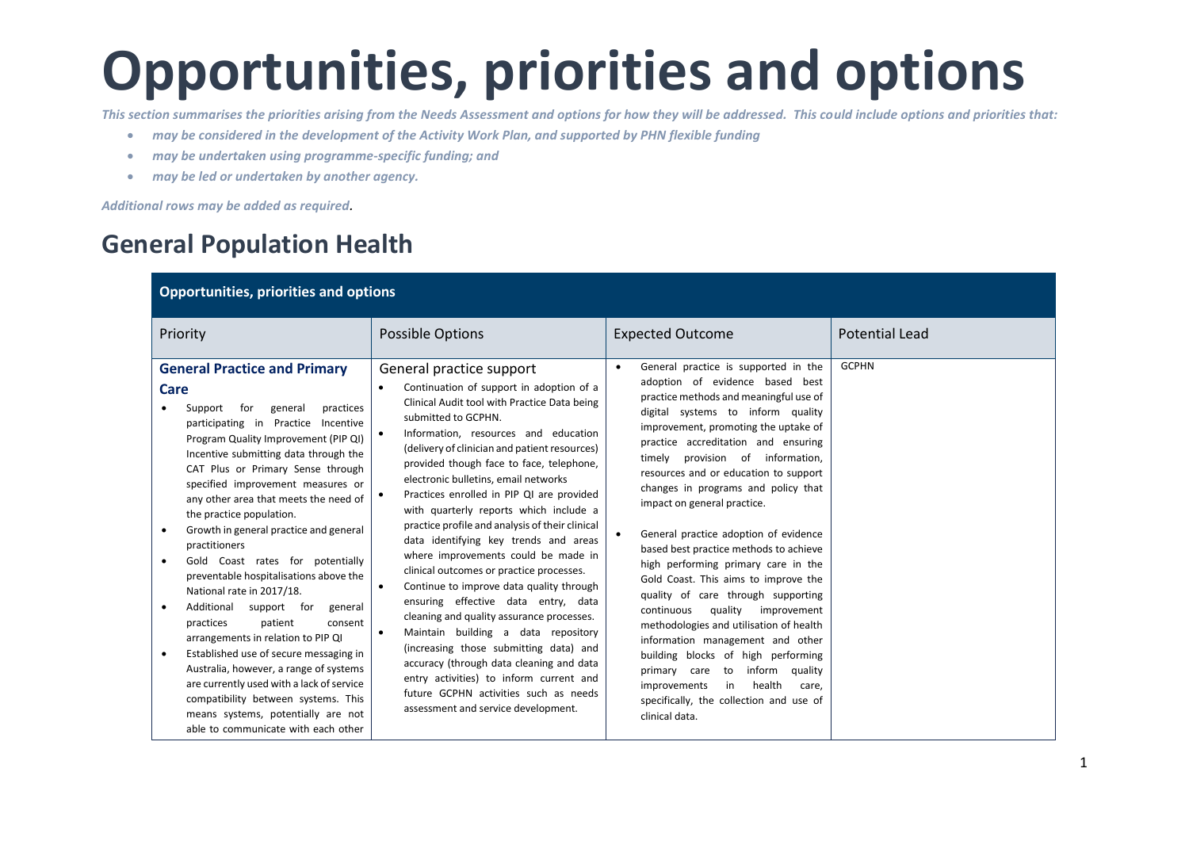*This section summarises the priorities arising from the Needs Assessment and options for how they will be addressed. This could include options and priorities that:*

- *may be considered in the development of the Activity Work Plan, and supported by PHN flexible funding*
- *may be undertaken using programme-specific funding; and*
- *may be led or undertaken by another agency.*

*Additional rows may be added as required.*

## **General Population Health**

| <b>Opportunities, priorities and options</b>                                                                                                                                                                                                                                                                                                                                                                                                                                                                                                                                                                                                                                                                                                                                                                                                                                                                                                              |                                                                                                                                                                                                                                                                                                                                                                                                                                                                                                                                                                                                                                                                                                                                                                                                                                                                                                                                                                                                                               |                                                                                                                                                                                                                                                                                                                                                                                                                                                                                                                                                                                                                                                                                                                                                                                                                                                                                                                   |                       |  |
|-----------------------------------------------------------------------------------------------------------------------------------------------------------------------------------------------------------------------------------------------------------------------------------------------------------------------------------------------------------------------------------------------------------------------------------------------------------------------------------------------------------------------------------------------------------------------------------------------------------------------------------------------------------------------------------------------------------------------------------------------------------------------------------------------------------------------------------------------------------------------------------------------------------------------------------------------------------|-------------------------------------------------------------------------------------------------------------------------------------------------------------------------------------------------------------------------------------------------------------------------------------------------------------------------------------------------------------------------------------------------------------------------------------------------------------------------------------------------------------------------------------------------------------------------------------------------------------------------------------------------------------------------------------------------------------------------------------------------------------------------------------------------------------------------------------------------------------------------------------------------------------------------------------------------------------------------------------------------------------------------------|-------------------------------------------------------------------------------------------------------------------------------------------------------------------------------------------------------------------------------------------------------------------------------------------------------------------------------------------------------------------------------------------------------------------------------------------------------------------------------------------------------------------------------------------------------------------------------------------------------------------------------------------------------------------------------------------------------------------------------------------------------------------------------------------------------------------------------------------------------------------------------------------------------------------|-----------------------|--|
| Priority                                                                                                                                                                                                                                                                                                                                                                                                                                                                                                                                                                                                                                                                                                                                                                                                                                                                                                                                                  | Possible Options                                                                                                                                                                                                                                                                                                                                                                                                                                                                                                                                                                                                                                                                                                                                                                                                                                                                                                                                                                                                              | <b>Expected Outcome</b>                                                                                                                                                                                                                                                                                                                                                                                                                                                                                                                                                                                                                                                                                                                                                                                                                                                                                           | <b>Potential Lead</b> |  |
| <b>General Practice and Primary</b><br>Care<br>for<br>practices<br>Support<br>general<br>participating in Practice Incentive<br>Program Quality Improvement (PIP QI)<br>Incentive submitting data through the<br>CAT Plus or Primary Sense through<br>specified improvement measures or<br>any other area that meets the need of<br>the practice population.<br>Growth in general practice and general<br>$\bullet$<br>practitioners<br>Gold Coast rates for potentially<br>$\bullet$<br>preventable hospitalisations above the<br>National rate in 2017/18.<br>Additional support for<br>general<br>$\bullet$<br>practices<br>patient<br>consent<br>arrangements in relation to PIP QI<br>Established use of secure messaging in<br>$\bullet$<br>Australia, however, a range of systems<br>are currently used with a lack of service<br>compatibility between systems. This<br>means systems, potentially are not<br>able to communicate with each other | General practice support<br>Continuation of support in adoption of a<br>Clinical Audit tool with Practice Data being<br>submitted to GCPHN.<br>Information, resources and education<br>$\bullet$<br>(delivery of clinician and patient resources)<br>provided though face to face, telephone,<br>electronic bulletins, email networks<br>Practices enrolled in PIP QI are provided<br>with quarterly reports which include a<br>practice profile and analysis of their clinical<br>data identifying key trends and areas<br>where improvements could be made in<br>clinical outcomes or practice processes.<br>Continue to improve data quality through<br>$\bullet$<br>ensuring effective data entry, data<br>cleaning and quality assurance processes.<br>Maintain building a data repository<br>$\bullet$<br>(increasing those submitting data) and<br>accuracy (through data cleaning and data<br>entry activities) to inform current and<br>future GCPHN activities such as needs<br>assessment and service development. | General practice is supported in the<br>adoption of evidence based best<br>practice methods and meaningful use of<br>digital systems to inform quality<br>improvement, promoting the uptake of<br>practice accreditation and ensuring<br>provision of information,<br>timely<br>resources and or education to support<br>changes in programs and policy that<br>impact on general practice.<br>General practice adoption of evidence<br>based best practice methods to achieve<br>high performing primary care in the<br>Gold Coast. This aims to improve the<br>quality of care through supporting<br>continuous<br>quality<br>improvement<br>methodologies and utilisation of health<br>information management and other<br>building blocks of high performing<br>to<br>inform<br>quality<br>primary care<br>health<br>in<br>improvements<br>care,<br>specifically, the collection and use of<br>clinical data. | <b>GCPHN</b>          |  |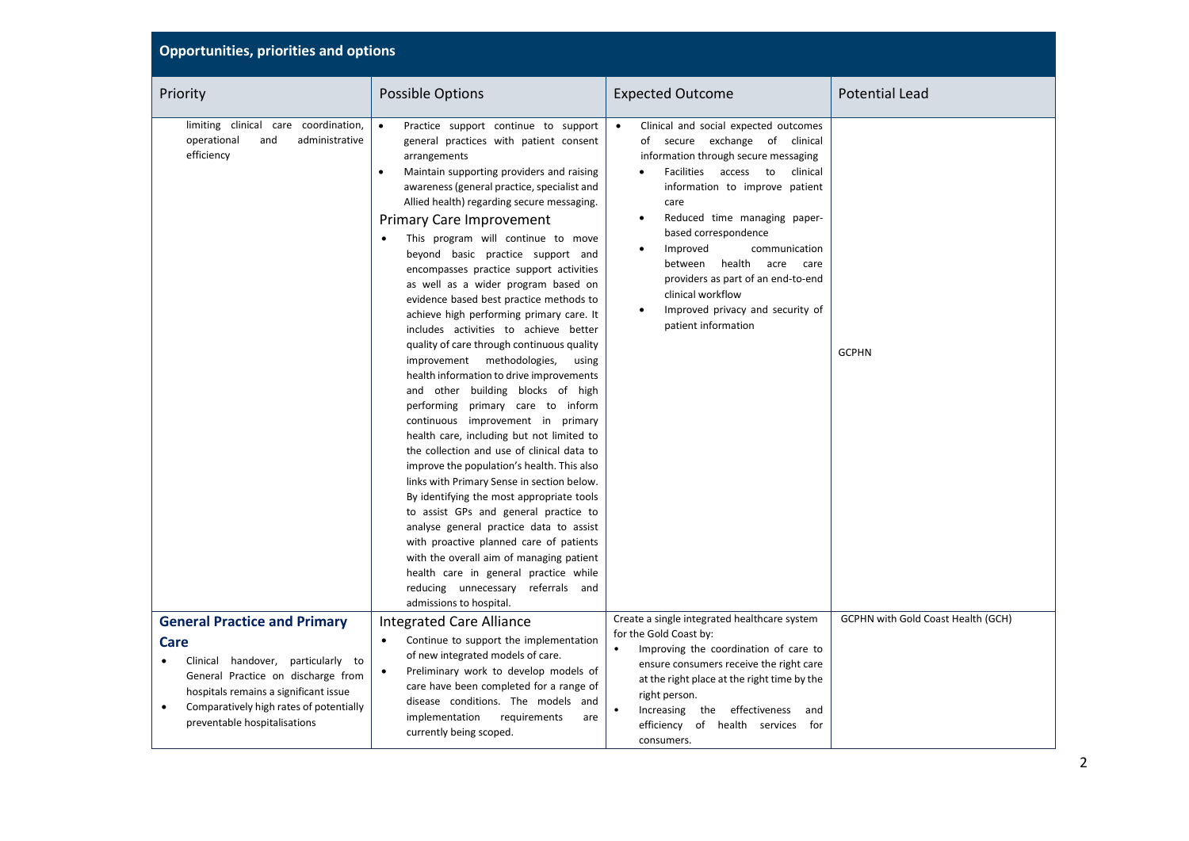| <b>Opportunities, priorities and options</b>                                                                                                                                                                         |                                                                                                                                                                                                                                                                                                                                                                                                                                                                                                                                                                                                                                                                                                                                                                                                                                                                                                                                                                                                                                                                                                                                                                                                                                                                                                                                                                             |                                                                                                                                                                                                                                                                                                                                                                                                                                                                                         |                                    |  |
|----------------------------------------------------------------------------------------------------------------------------------------------------------------------------------------------------------------------|-----------------------------------------------------------------------------------------------------------------------------------------------------------------------------------------------------------------------------------------------------------------------------------------------------------------------------------------------------------------------------------------------------------------------------------------------------------------------------------------------------------------------------------------------------------------------------------------------------------------------------------------------------------------------------------------------------------------------------------------------------------------------------------------------------------------------------------------------------------------------------------------------------------------------------------------------------------------------------------------------------------------------------------------------------------------------------------------------------------------------------------------------------------------------------------------------------------------------------------------------------------------------------------------------------------------------------------------------------------------------------|-----------------------------------------------------------------------------------------------------------------------------------------------------------------------------------------------------------------------------------------------------------------------------------------------------------------------------------------------------------------------------------------------------------------------------------------------------------------------------------------|------------------------------------|--|
| Priority                                                                                                                                                                                                             | Possible Options                                                                                                                                                                                                                                                                                                                                                                                                                                                                                                                                                                                                                                                                                                                                                                                                                                                                                                                                                                                                                                                                                                                                                                                                                                                                                                                                                            | <b>Expected Outcome</b>                                                                                                                                                                                                                                                                                                                                                                                                                                                                 | <b>Potential Lead</b>              |  |
| limiting clinical care coordination,<br>operational<br>administrative<br>and<br>efficiency                                                                                                                           | Practice support continue to support<br>$\bullet$<br>general practices with patient consent<br>arrangements<br>Maintain supporting providers and raising<br>$\bullet$<br>awareness (general practice, specialist and<br>Allied health) regarding secure messaging.<br><b>Primary Care Improvement</b><br>This program will continue to move<br>beyond basic practice support and<br>encompasses practice support activities<br>as well as a wider program based on<br>evidence based best practice methods to<br>achieve high performing primary care. It<br>includes activities to achieve better<br>quality of care through continuous quality<br>improvement methodologies,<br>using<br>health information to drive improvements<br>and other building blocks of high<br>performing primary care to inform<br>continuous improvement in primary<br>health care, including but not limited to<br>the collection and use of clinical data to<br>improve the population's health. This also<br>links with Primary Sense in section below.<br>By identifying the most appropriate tools<br>to assist GPs and general practice to<br>analyse general practice data to assist<br>with proactive planned care of patients<br>with the overall aim of managing patient<br>health care in general practice while<br>reducing unnecessary referrals and<br>admissions to hospital. | Clinical and social expected outcomes<br>$\bullet$<br>of secure exchange of clinical<br>information through secure messaging<br>Facilities<br>access<br>clinical<br>to<br>information to improve patient<br>care<br>Reduced time managing paper-<br>$\bullet$<br>based correspondence<br>Improved<br>communication<br>٠<br>health<br>acre<br>between<br>care<br>providers as part of an end-to-end<br>clinical workflow<br>Improved privacy and security of<br>٠<br>patient information | <b>GCPHN</b>                       |  |
| <b>General Practice and Primary</b>                                                                                                                                                                                  | <b>Integrated Care Alliance</b>                                                                                                                                                                                                                                                                                                                                                                                                                                                                                                                                                                                                                                                                                                                                                                                                                                                                                                                                                                                                                                                                                                                                                                                                                                                                                                                                             | Create a single integrated healthcare system<br>for the Gold Coast by:                                                                                                                                                                                                                                                                                                                                                                                                                  | GCPHN with Gold Coast Health (GCH) |  |
| Care<br>Clinical handover,<br>particularly to<br>General Practice on discharge from<br>hospitals remains a significant issue<br>Comparatively high rates of potentially<br>$\bullet$<br>preventable hospitalisations | Continue to support the implementation<br>$\bullet$<br>of new integrated models of care.<br>Preliminary work to develop models of<br>$\bullet$<br>care have been completed for a range of<br>disease conditions. The models and<br>implementation<br>requirements<br>are<br>currently being scoped.                                                                                                                                                                                                                                                                                                                                                                                                                                                                                                                                                                                                                                                                                                                                                                                                                                                                                                                                                                                                                                                                         | Improving the coordination of care to<br>$\bullet$<br>ensure consumers receive the right care<br>at the right place at the right time by the<br>right person.<br>Increasing<br>the effectiveness<br>and<br>efficiency<br>of health services<br>for<br>consumers.                                                                                                                                                                                                                        |                                    |  |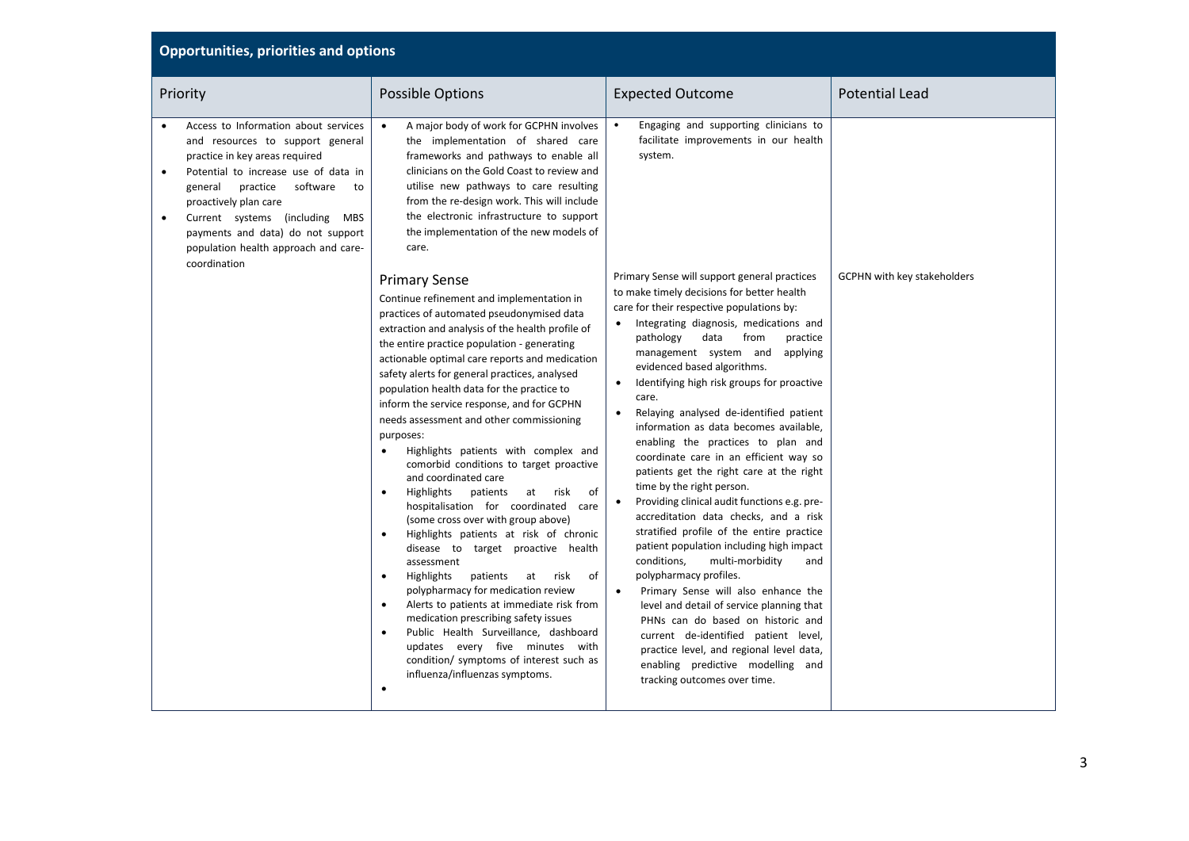| Priority                                                                                                                                                                                                                                                                                                                                            | <b>Possible Options</b>                                                                                                                                                                                                                                                                                                                                                                                                                                                                                                                                                                                                                                                                                                                                                                                                                                                                                                                                                                                                                                                                                                                                                                                                                     | <b>Expected Outcome</b>                                                                                                                                                                                                                                                                                                                                                                                                                                                                                                                                                                                                                                                                                                                                                                                                                                                                                                                                                                                                                                                                                                                                | <b>Potential Lead</b>       |
|-----------------------------------------------------------------------------------------------------------------------------------------------------------------------------------------------------------------------------------------------------------------------------------------------------------------------------------------------------|---------------------------------------------------------------------------------------------------------------------------------------------------------------------------------------------------------------------------------------------------------------------------------------------------------------------------------------------------------------------------------------------------------------------------------------------------------------------------------------------------------------------------------------------------------------------------------------------------------------------------------------------------------------------------------------------------------------------------------------------------------------------------------------------------------------------------------------------------------------------------------------------------------------------------------------------------------------------------------------------------------------------------------------------------------------------------------------------------------------------------------------------------------------------------------------------------------------------------------------------|--------------------------------------------------------------------------------------------------------------------------------------------------------------------------------------------------------------------------------------------------------------------------------------------------------------------------------------------------------------------------------------------------------------------------------------------------------------------------------------------------------------------------------------------------------------------------------------------------------------------------------------------------------------------------------------------------------------------------------------------------------------------------------------------------------------------------------------------------------------------------------------------------------------------------------------------------------------------------------------------------------------------------------------------------------------------------------------------------------------------------------------------------------|-----------------------------|
| Access to Information about services<br>and resources to support general<br>practice in key areas required<br>Potential to increase use of data in<br>software<br>general<br>practice<br>to<br>proactively plan care<br>Current systems (including MBS<br>payments and data) do not support<br>population health approach and care-<br>coordination | A major body of work for GCPHN involves<br>$\bullet$<br>the implementation of shared care<br>frameworks and pathways to enable all<br>clinicians on the Gold Coast to review and<br>utilise new pathways to care resulting<br>from the re-design work. This will include<br>the electronic infrastructure to support<br>the implementation of the new models of<br>care.                                                                                                                                                                                                                                                                                                                                                                                                                                                                                                                                                                                                                                                                                                                                                                                                                                                                    | Engaging and supporting clinicians to<br>facilitate improvements in our health<br>system.                                                                                                                                                                                                                                                                                                                                                                                                                                                                                                                                                                                                                                                                                                                                                                                                                                                                                                                                                                                                                                                              |                             |
|                                                                                                                                                                                                                                                                                                                                                     | <b>Primary Sense</b><br>Continue refinement and implementation in<br>practices of automated pseudonymised data<br>extraction and analysis of the health profile of<br>the entire practice population - generating<br>actionable optimal care reports and medication<br>safety alerts for general practices, analysed<br>population health data for the practice to<br>inform the service response, and for GCPHN<br>needs assessment and other commissioning<br>purposes:<br>Highlights patients with complex and<br>$\bullet$<br>comorbid conditions to target proactive<br>and coordinated care<br>patients<br>of<br>Highlights<br>risk<br>$\bullet$<br>at<br>hospitalisation for coordinated care<br>(some cross over with group above)<br>Highlights patients at risk of chronic<br>$\bullet$<br>disease to target proactive health<br>assessment<br>of<br>Highlights<br>patients<br>risk<br>at<br>$\bullet$<br>polypharmacy for medication review<br>Alerts to patients at immediate risk from<br>$\bullet$<br>medication prescribing safety issues<br>Public Health Surveillance, dashboard<br>$\bullet$<br>updates every five minutes with<br>condition/ symptoms of interest such as<br>influenza/influenzas symptoms.<br>$\bullet$ | Primary Sense will support general practices<br>to make timely decisions for better health<br>care for their respective populations by:<br>• Integrating diagnosis, medications and<br>pathology<br>data<br>from<br>practice<br>management system and applying<br>evidenced based algorithms.<br>Identifying high risk groups for proactive<br>care.<br>Relaying analysed de-identified patient<br>information as data becomes available.<br>enabling the practices to plan and<br>coordinate care in an efficient way so<br>patients get the right care at the right<br>time by the right person.<br>Providing clinical audit functions e.g. pre-<br>accreditation data checks, and a risk<br>stratified profile of the entire practice<br>patient population including high impact<br>conditions,<br>multi-morbidity<br>and<br>polypharmacy profiles.<br>Primary Sense will also enhance the<br>$\bullet$<br>level and detail of service planning that<br>PHNs can do based on historic and<br>current de-identified patient level,<br>practice level, and regional level data,<br>enabling predictive modelling and<br>tracking outcomes over time. | GCPHN with key stakeholders |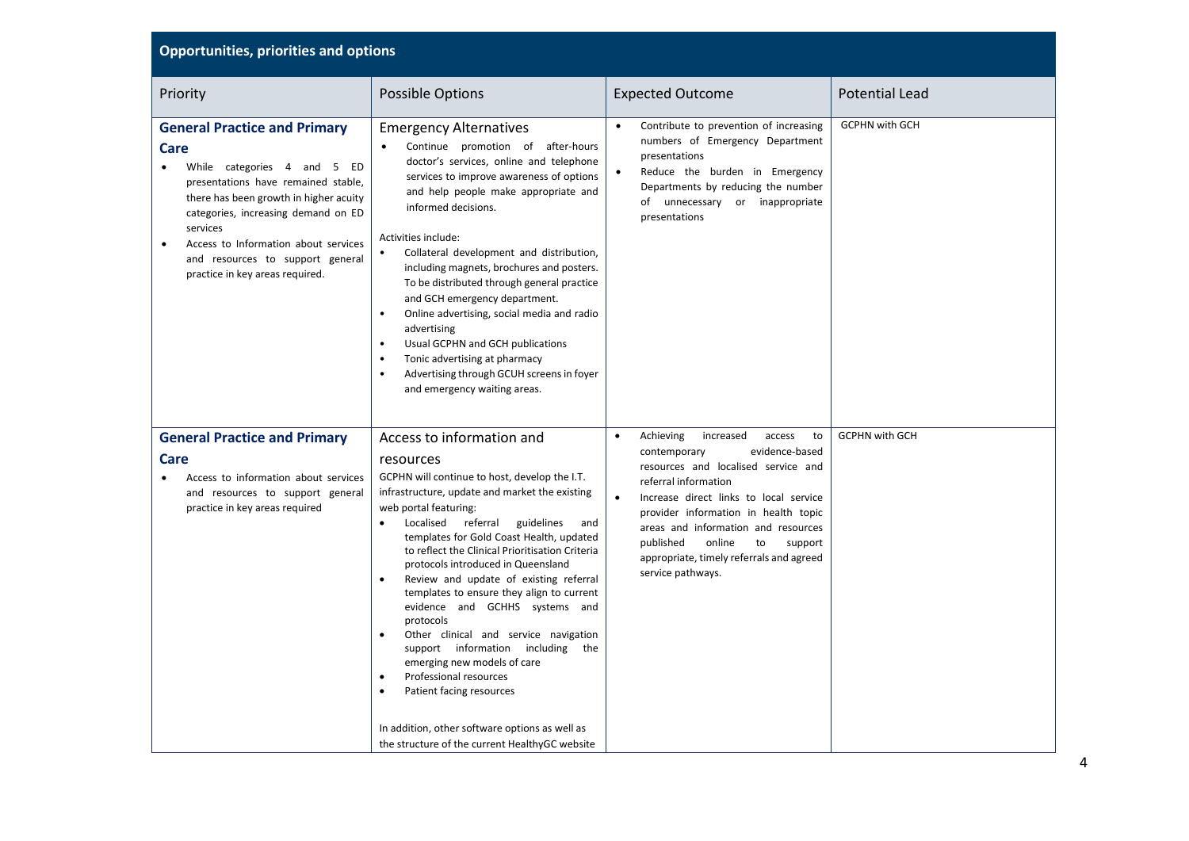| <b>Opportunities, priorities and options</b>                                                                                                                                                                                                                                                                                               |                                                                                                                                                                                                                                                                                                                                                                                                                                                                                                                                                                                                                                                                                                                                                                                           |                                                                                                                                                                                                                                                                                                                                                                                                     |                       |  |
|--------------------------------------------------------------------------------------------------------------------------------------------------------------------------------------------------------------------------------------------------------------------------------------------------------------------------------------------|-------------------------------------------------------------------------------------------------------------------------------------------------------------------------------------------------------------------------------------------------------------------------------------------------------------------------------------------------------------------------------------------------------------------------------------------------------------------------------------------------------------------------------------------------------------------------------------------------------------------------------------------------------------------------------------------------------------------------------------------------------------------------------------------|-----------------------------------------------------------------------------------------------------------------------------------------------------------------------------------------------------------------------------------------------------------------------------------------------------------------------------------------------------------------------------------------------------|-----------------------|--|
| Priority                                                                                                                                                                                                                                                                                                                                   | Possible Options                                                                                                                                                                                                                                                                                                                                                                                                                                                                                                                                                                                                                                                                                                                                                                          | <b>Expected Outcome</b>                                                                                                                                                                                                                                                                                                                                                                             | <b>Potential Lead</b> |  |
| <b>General Practice and Primary</b><br>Care<br>While categories 4 and 5 ED<br>presentations have remained stable,<br>there has been growth in higher acuity<br>categories, increasing demand on ED<br>services<br>Access to Information about services<br>$\bullet$<br>and resources to support general<br>practice in key areas required. | <b>Emergency Alternatives</b><br>Continue promotion of after-hours<br>doctor's services, online and telephone<br>services to improve awareness of options<br>and help people make appropriate and<br>informed decisions.<br>Activities include:<br>Collateral development and distribution,<br>$\bullet$<br>including magnets, brochures and posters.<br>To be distributed through general practice<br>and GCH emergency department.<br>Online advertising, social media and radio<br>$\bullet$<br>advertising<br>Usual GCPHN and GCH publications<br>$\bullet$<br>Tonic advertising at pharmacy<br>$\bullet$<br>Advertising through GCUH screens in foyer<br>$\bullet$<br>and emergency waiting areas.                                                                                   | Contribute to prevention of increasing<br>$\bullet$<br>numbers of Emergency Department<br>presentations<br>Reduce the burden in Emergency<br>Departments by reducing the number<br>of unnecessary or inappropriate<br>presentations                                                                                                                                                                 | <b>GCPHN with GCH</b> |  |
| <b>General Practice and Primary</b><br>Care<br>Access to information about services<br>and resources to support general<br>practice in key areas required                                                                                                                                                                                  | Access to information and<br>resources<br>GCPHN will continue to host, develop the I.T.<br>infrastructure, update and market the existing<br>web portal featuring:<br>Localised referral<br>guidelines<br>and<br>templates for Gold Coast Health, updated<br>to reflect the Clinical Prioritisation Criteria<br>protocols introduced in Queensland<br>Review and update of existing referral<br>templates to ensure they align to current<br>evidence and GCHHS systems and<br>protocols<br>Other clinical and service navigation<br>$\bullet$<br>support information including the<br>emerging new models of care<br>Professional resources<br>Patient facing resources<br>$\bullet$<br>In addition, other software options as well as<br>the structure of the current HealthyGC website | Achieving<br>to<br>$\bullet$<br>increased<br>access<br>evidence-based<br>contemporary<br>resources and localised service and<br>referral information<br>Increase direct links to local service<br>$\bullet$<br>provider information in health topic<br>areas and information and resources<br>published<br>online<br>to<br>support<br>appropriate, timely referrals and agreed<br>service pathways. | <b>GCPHN with GCH</b> |  |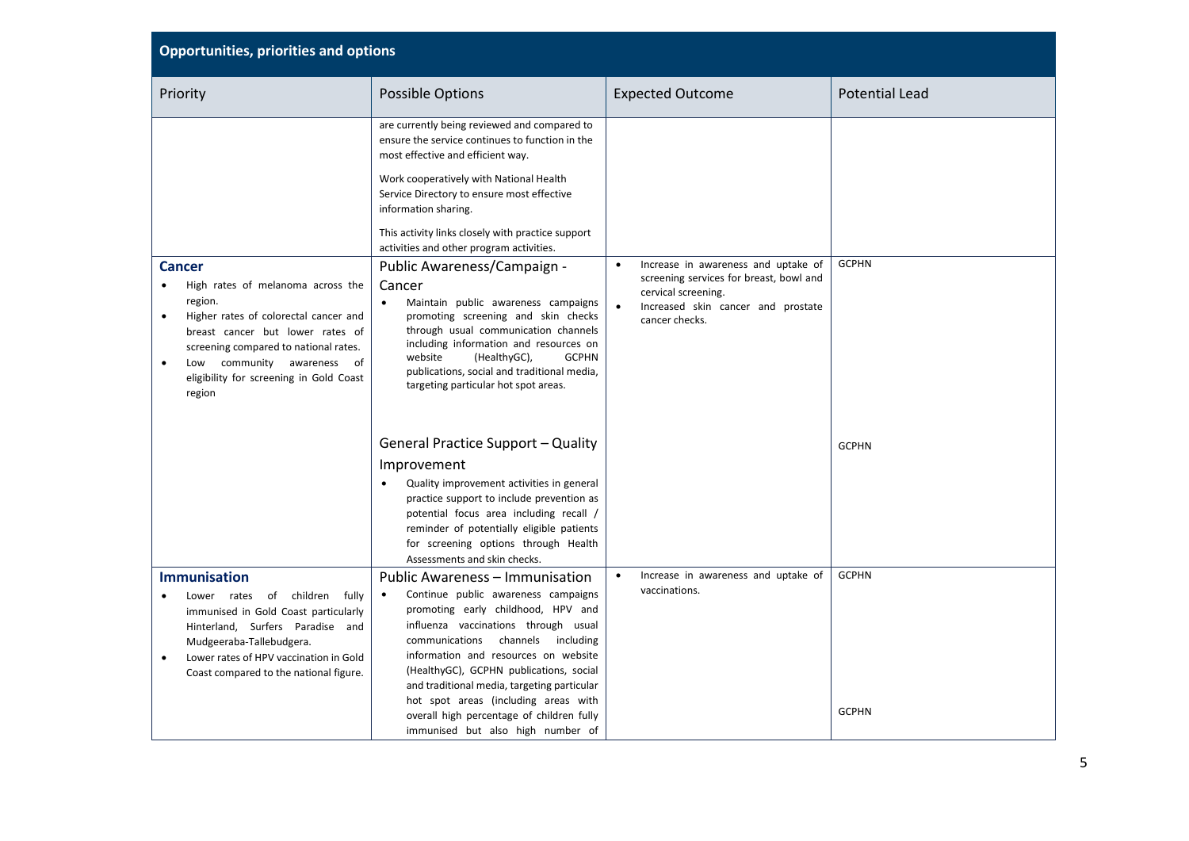| <b>Opportunities, priorities and options</b>                                                                                                                                                                                                                                                        |                                                                                                                                                                                                                                                                                                                                                                                                                                                                       |                                                                                                                                                                                         |                              |  |
|-----------------------------------------------------------------------------------------------------------------------------------------------------------------------------------------------------------------------------------------------------------------------------------------------------|-----------------------------------------------------------------------------------------------------------------------------------------------------------------------------------------------------------------------------------------------------------------------------------------------------------------------------------------------------------------------------------------------------------------------------------------------------------------------|-----------------------------------------------------------------------------------------------------------------------------------------------------------------------------------------|------------------------------|--|
| Priority                                                                                                                                                                                                                                                                                            | <b>Possible Options</b>                                                                                                                                                                                                                                                                                                                                                                                                                                               | <b>Expected Outcome</b>                                                                                                                                                                 | <b>Potential Lead</b>        |  |
|                                                                                                                                                                                                                                                                                                     | are currently being reviewed and compared to<br>ensure the service continues to function in the<br>most effective and efficient way.<br>Work cooperatively with National Health<br>Service Directory to ensure most effective<br>information sharing.<br>This activity links closely with practice support<br>activities and other program activities.                                                                                                                |                                                                                                                                                                                         |                              |  |
| <b>Cancer</b><br>High rates of melanoma across the<br>region.<br>Higher rates of colorectal cancer and<br>$\bullet$<br>breast cancer but lower rates of<br>screening compared to national rates.<br>community awareness of<br>$\bullet$<br>Low<br>eligibility for screening in Gold Coast<br>region | Public Awareness/Campaign -<br>Cancer<br>Maintain public awareness campaigns<br>$\bullet$<br>promoting screening and skin checks<br>through usual communication channels<br>including information and resources on<br>website<br>(HealthyGC),<br><b>GCPHN</b><br>publications, social and traditional media,<br>targeting particular hot spot areas.                                                                                                                  | Increase in awareness and uptake of<br>$\bullet$<br>screening services for breast, bowl and<br>cervical screening.<br>$\bullet$<br>Increased skin cancer and prostate<br>cancer checks. | <b>GCPHN</b>                 |  |
|                                                                                                                                                                                                                                                                                                     | <b>General Practice Support - Quality</b><br>Improvement<br>Quality improvement activities in general<br>practice support to include prevention as<br>potential focus area including recall /<br>reminder of potentially eligible patients<br>for screening options through Health<br>Assessments and skin checks.                                                                                                                                                    |                                                                                                                                                                                         | <b>GCPHN</b>                 |  |
| <b>Immunisation</b><br>children<br>fully<br>Lower rates<br>of<br>immunised in Gold Coast particularly<br>Hinterland, Surfers Paradise and<br>Mudgeeraba-Tallebudgera.<br>Lower rates of HPV vaccination in Gold<br>Coast compared to the national figure.                                           | Public Awareness – Immunisation<br>Continue public awareness campaigns<br>$\bullet$<br>promoting early childhood, HPV and<br>influenza vaccinations through usual<br>channels including<br>communications<br>information and resources on website<br>(HealthyGC), GCPHN publications, social<br>and traditional media, targeting particular<br>hot spot areas (including areas with<br>overall high percentage of children fully<br>immunised but also high number of | Increase in awareness and uptake of<br>$\bullet$<br>vaccinations.                                                                                                                       | <b>GCPHN</b><br><b>GCPHN</b> |  |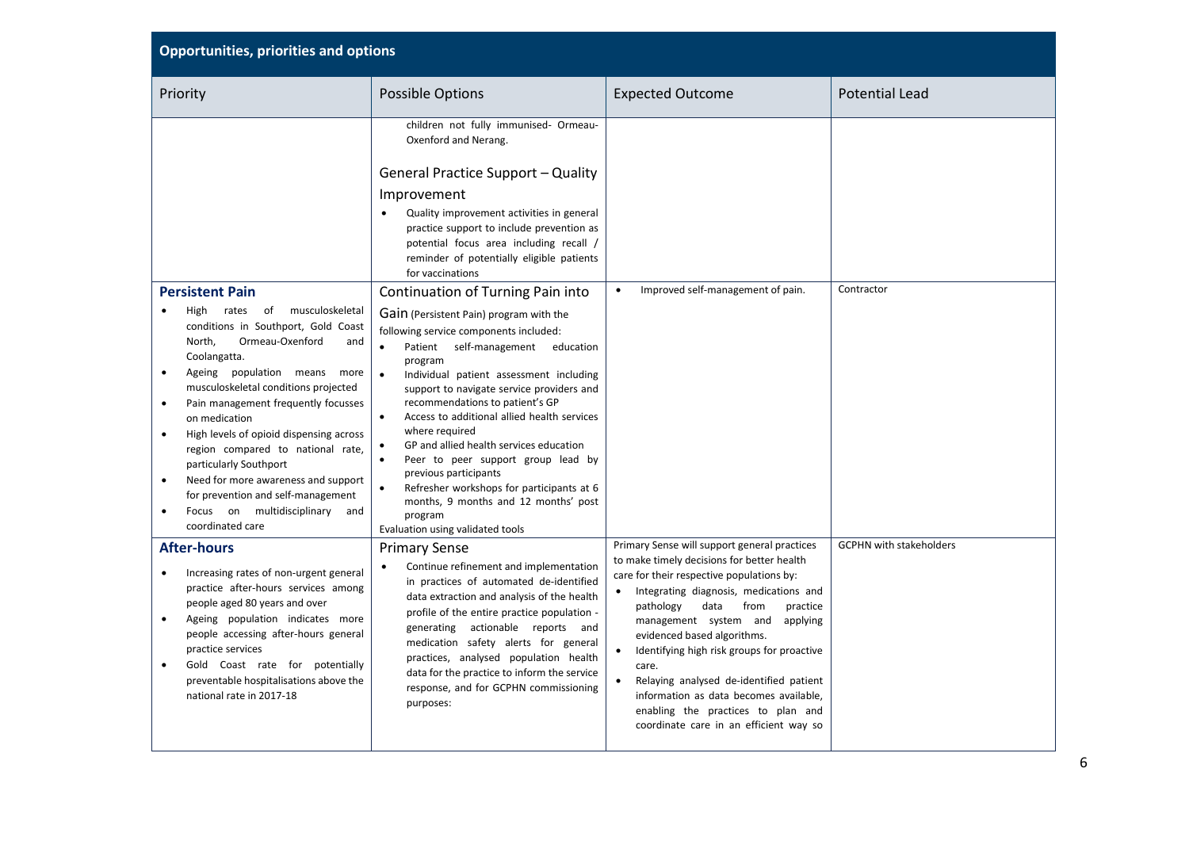| <b>Opportunities, priorities and options</b>                                                                                                                                                                                                                                                                                                                                                                                                                                                                                |                                                                                                                                                                                                                                                                                                                                                                                                                                                                                                                                                                                                                       |                                                                                                                                                                                                                                                                                                                                                                                                                                                                                                                                                        |                                |  |
|-----------------------------------------------------------------------------------------------------------------------------------------------------------------------------------------------------------------------------------------------------------------------------------------------------------------------------------------------------------------------------------------------------------------------------------------------------------------------------------------------------------------------------|-----------------------------------------------------------------------------------------------------------------------------------------------------------------------------------------------------------------------------------------------------------------------------------------------------------------------------------------------------------------------------------------------------------------------------------------------------------------------------------------------------------------------------------------------------------------------------------------------------------------------|--------------------------------------------------------------------------------------------------------------------------------------------------------------------------------------------------------------------------------------------------------------------------------------------------------------------------------------------------------------------------------------------------------------------------------------------------------------------------------------------------------------------------------------------------------|--------------------------------|--|
| Priority                                                                                                                                                                                                                                                                                                                                                                                                                                                                                                                    | Possible Options                                                                                                                                                                                                                                                                                                                                                                                                                                                                                                                                                                                                      | <b>Expected Outcome</b>                                                                                                                                                                                                                                                                                                                                                                                                                                                                                                                                | <b>Potential Lead</b>          |  |
|                                                                                                                                                                                                                                                                                                                                                                                                                                                                                                                             | children not fully immunised- Ormeau-<br>Oxenford and Nerang.                                                                                                                                                                                                                                                                                                                                                                                                                                                                                                                                                         |                                                                                                                                                                                                                                                                                                                                                                                                                                                                                                                                                        |                                |  |
|                                                                                                                                                                                                                                                                                                                                                                                                                                                                                                                             | <b>General Practice Support - Quality</b>                                                                                                                                                                                                                                                                                                                                                                                                                                                                                                                                                                             |                                                                                                                                                                                                                                                                                                                                                                                                                                                                                                                                                        |                                |  |
|                                                                                                                                                                                                                                                                                                                                                                                                                                                                                                                             | Improvement                                                                                                                                                                                                                                                                                                                                                                                                                                                                                                                                                                                                           |                                                                                                                                                                                                                                                                                                                                                                                                                                                                                                                                                        |                                |  |
|                                                                                                                                                                                                                                                                                                                                                                                                                                                                                                                             | Quality improvement activities in general<br>practice support to include prevention as<br>potential focus area including recall /<br>reminder of potentially eligible patients<br>for vaccinations                                                                                                                                                                                                                                                                                                                                                                                                                    |                                                                                                                                                                                                                                                                                                                                                                                                                                                                                                                                                        |                                |  |
| <b>Persistent Pain</b>                                                                                                                                                                                                                                                                                                                                                                                                                                                                                                      | Continuation of Turning Pain into                                                                                                                                                                                                                                                                                                                                                                                                                                                                                                                                                                                     | Improved self-management of pain.<br>$\bullet$                                                                                                                                                                                                                                                                                                                                                                                                                                                                                                         | Contractor                     |  |
| rates of musculoskeletal<br>High<br>conditions in Southport, Gold Coast<br>Ormeau-Oxenford<br>North,<br>and<br>Coolangatta.<br>Ageing population means<br>more<br>musculoskeletal conditions projected<br>Pain management frequently focusses<br>$\bullet$<br>on medication<br>High levels of opioid dispensing across<br>region compared to national rate,<br>particularly Southport<br>Need for more awareness and support<br>for prevention and self-management<br>Focus on multidisciplinary<br>and<br>coordinated care | Gain (Persistent Pain) program with the<br>following service components included:<br>Patient self-management<br>education<br>program<br>Individual patient assessment including<br>support to navigate service providers and<br>recommendations to patient's GP<br>$\bullet$<br>Access to additional allied health services<br>where required<br>GP and allied health services education<br>$\bullet$<br>$\bullet$<br>Peer to peer support group lead by<br>previous participants<br>Refresher workshops for participants at 6<br>months, 9 months and 12 months' post<br>program<br>Evaluation using validated tools |                                                                                                                                                                                                                                                                                                                                                                                                                                                                                                                                                        |                                |  |
| <b>After-hours</b><br>Increasing rates of non-urgent general<br>$\bullet$<br>practice after-hours services among<br>people aged 80 years and over<br>Ageing population indicates more<br>$\bullet$<br>people accessing after-hours general<br>practice services<br>Gold Coast rate for potentially<br>preventable hospitalisations above the<br>national rate in 2017-18                                                                                                                                                    | <b>Primary Sense</b><br>Continue refinement and implementation<br>$\bullet$<br>in practices of automated de-identified<br>data extraction and analysis of the health<br>profile of the entire practice population -<br>generating actionable reports and<br>medication safety alerts for general<br>practices, analysed population health<br>data for the practice to inform the service<br>response, and for GCPHN commissioning<br>purposes:                                                                                                                                                                        | Primary Sense will support general practices<br>to make timely decisions for better health<br>care for their respective populations by:<br>• Integrating diagnosis, medications and<br>data<br>from<br>pathology<br>practice<br>management system and<br>applying<br>evidenced based algorithms.<br>$\bullet$<br>Identifying high risk groups for proactive<br>care.<br>Relaying analysed de-identified patient<br>$\bullet$<br>information as data becomes available,<br>enabling the practices to plan and<br>coordinate care in an efficient way so | <b>GCPHN with stakeholders</b> |  |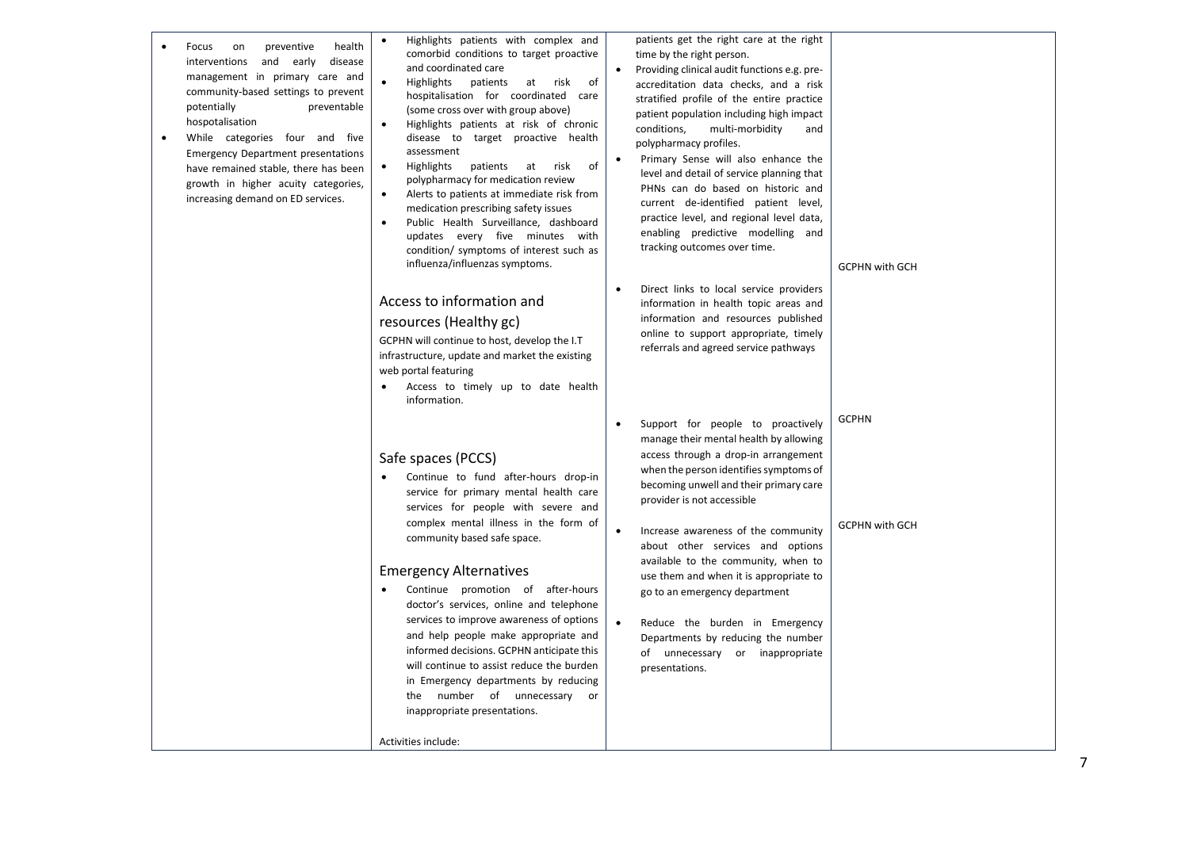| health<br>Focus<br>on<br>preventive<br>interventions<br>and early<br>disease<br>management in primary care and<br>community-based settings to prevent<br>potentially<br>preventable<br>hospotalisation<br>While categories four and five<br>$\bullet$<br><b>Emergency Department presentations</b><br>have remained stable, there has been<br>growth in higher acuity categories,<br>increasing demand on ED services. | Highlights patients with complex and<br>comorbid conditions to target proactive<br>and coordinated care<br>Highlights<br>patients<br>at risk<br>of<br>hospitalisation for coordinated care<br>(some cross over with group above)<br>Highlights patients at risk of chronic<br>disease to target proactive health<br>assessment<br>Highlights<br>patients<br>at<br>risk<br>of<br>polypharmacy for medication review<br>Alerts to patients at immediate risk from<br>medication prescribing safety issues<br>Public Health Surveillance, dashboard<br>updates every five minutes with<br>condition/ symptoms of interest such as<br>influenza/influenzas symptoms. | patients get the right care at the right<br>time by the right person.<br>Providing clinical audit functions e.g. pre-<br>accreditation data checks, and a risk<br>stratified profile of the entire practice<br>patient population including high impact<br>conditions,<br>multi-morbidity<br>and<br>polypharmacy profiles.<br>Primary Sense will also enhance the<br>level and detail of service planning that<br>PHNs can do based on historic and<br>current de-identified patient level,<br>practice level, and regional level data,<br>enabling predictive modelling and<br>tracking outcomes over time. | <b>GCPHN with GCH</b>                 |
|------------------------------------------------------------------------------------------------------------------------------------------------------------------------------------------------------------------------------------------------------------------------------------------------------------------------------------------------------------------------------------------------------------------------|------------------------------------------------------------------------------------------------------------------------------------------------------------------------------------------------------------------------------------------------------------------------------------------------------------------------------------------------------------------------------------------------------------------------------------------------------------------------------------------------------------------------------------------------------------------------------------------------------------------------------------------------------------------|--------------------------------------------------------------------------------------------------------------------------------------------------------------------------------------------------------------------------------------------------------------------------------------------------------------------------------------------------------------------------------------------------------------------------------------------------------------------------------------------------------------------------------------------------------------------------------------------------------------|---------------------------------------|
|                                                                                                                                                                                                                                                                                                                                                                                                                        | Access to information and<br>resources (Healthy gc)<br>GCPHN will continue to host, develop the I.T<br>infrastructure, update and market the existing<br>web portal featuring<br>Access to timely up to date health<br>information.                                                                                                                                                                                                                                                                                                                                                                                                                              | Direct links to local service providers<br>$\bullet$<br>information in health topic areas and<br>information and resources published<br>online to support appropriate, timely<br>referrals and agreed service pathways                                                                                                                                                                                                                                                                                                                                                                                       |                                       |
|                                                                                                                                                                                                                                                                                                                                                                                                                        | Safe spaces (PCCS)<br>Continue to fund after-hours drop-in<br>service for primary mental health care<br>services for people with severe and<br>complex mental illness in the form of<br>community based safe space.<br><b>Emergency Alternatives</b><br>Continue promotion of after-hours<br>doctor's services, online and telephone<br>services to improve awareness of options<br>and help people make appropriate and<br>informed decisions. GCPHN anticipate this<br>will continue to assist reduce the burden<br>in Emergency departments by reducing<br>the number of unnecessary or<br>inappropriate presentations.<br>Activities include:                | Support for people to proactively<br>$\bullet$<br>manage their mental health by allowing<br>access through a drop-in arrangement<br>when the person identifies symptoms of<br>becoming unwell and their primary care<br>provider is not accessible<br>Increase awareness of the community<br>about other services and options<br>available to the community, when to<br>use them and when it is appropriate to<br>go to an emergency department<br>$\bullet$<br>Reduce the burden in Emergency<br>Departments by reducing the number<br>of unnecessary or inappropriate<br>presentations.                    | <b>GCPHN</b><br><b>GCPHN with GCH</b> |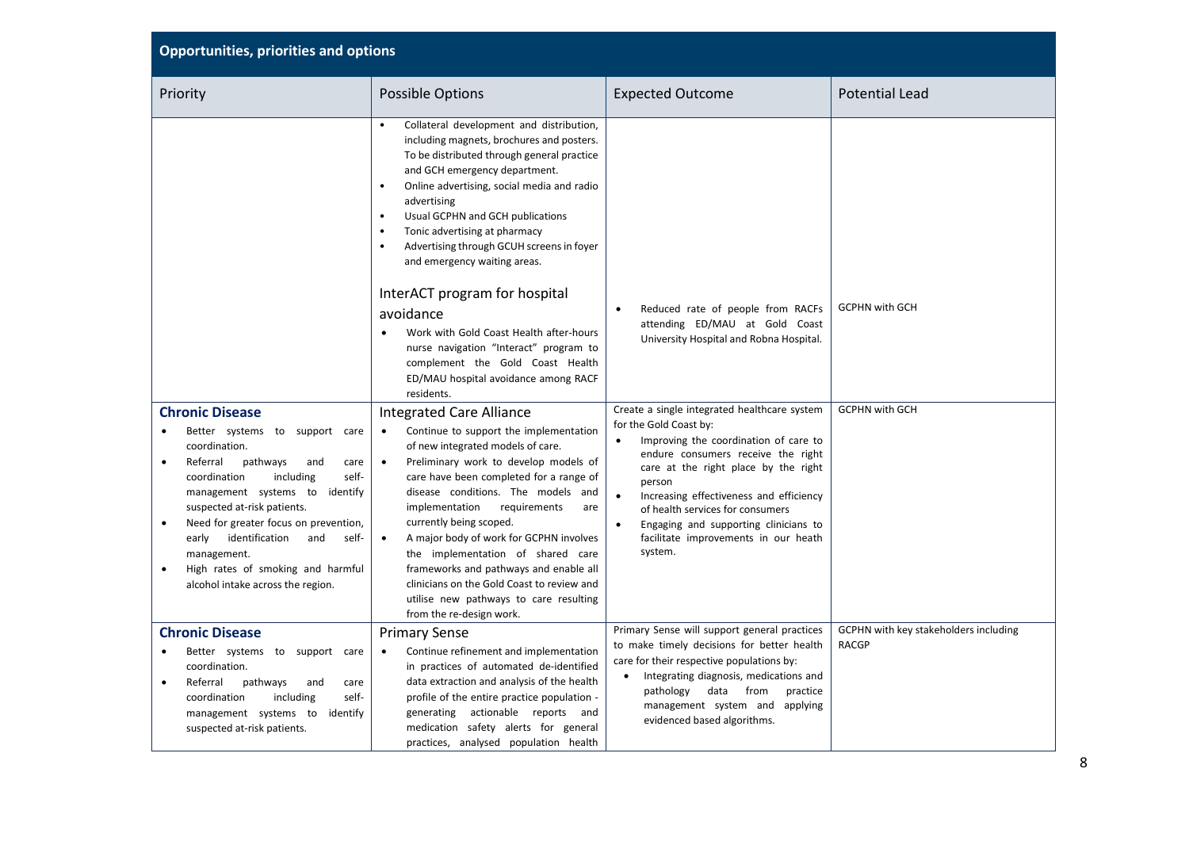| <b>Opportunities, priorities and options</b>                                                                                                                                                                                                                                                                                                                                                                                      |                                                                                                                                                                                                                                                                                                                                                                                                                                                                                                                                                                                                   |                                                                                                                                                                                                                                                                                                                                                                                                                           |                                                       |
|-----------------------------------------------------------------------------------------------------------------------------------------------------------------------------------------------------------------------------------------------------------------------------------------------------------------------------------------------------------------------------------------------------------------------------------|---------------------------------------------------------------------------------------------------------------------------------------------------------------------------------------------------------------------------------------------------------------------------------------------------------------------------------------------------------------------------------------------------------------------------------------------------------------------------------------------------------------------------------------------------------------------------------------------------|---------------------------------------------------------------------------------------------------------------------------------------------------------------------------------------------------------------------------------------------------------------------------------------------------------------------------------------------------------------------------------------------------------------------------|-------------------------------------------------------|
| Priority                                                                                                                                                                                                                                                                                                                                                                                                                          | <b>Possible Options</b>                                                                                                                                                                                                                                                                                                                                                                                                                                                                                                                                                                           | <b>Expected Outcome</b>                                                                                                                                                                                                                                                                                                                                                                                                   | <b>Potential Lead</b>                                 |
|                                                                                                                                                                                                                                                                                                                                                                                                                                   | Collateral development and distribution,<br>including magnets, brochures and posters.<br>To be distributed through general practice<br>and GCH emergency department.<br>Online advertising, social media and radio<br>advertising<br>Usual GCPHN and GCH publications<br>$\bullet$<br>Tonic advertising at pharmacy<br>Advertising through GCUH screens in foyer<br>and emergency waiting areas.<br>InterACT program for hospital<br>avoidance                                                                                                                                                    | Reduced rate of people from RACFs                                                                                                                                                                                                                                                                                                                                                                                         | <b>GCPHN with GCH</b>                                 |
|                                                                                                                                                                                                                                                                                                                                                                                                                                   | Work with Gold Coast Health after-hours<br>nurse navigation "Interact" program to<br>complement the Gold Coast Health<br>ED/MAU hospital avoidance among RACF<br>residents.                                                                                                                                                                                                                                                                                                                                                                                                                       | attending ED/MAU at Gold Coast<br>University Hospital and Robna Hospital.                                                                                                                                                                                                                                                                                                                                                 |                                                       |
| <b>Chronic Disease</b><br>Better systems to support care<br>coordination.<br>Referral<br>pathways<br>and<br>care<br>$\bullet$<br>self-<br>coordination<br>including<br>management systems to<br>identify<br>suspected at-risk patients.<br>Need for greater focus on prevention,<br>$\bullet$<br>identification<br>early<br>and<br>self-<br>management.<br>High rates of smoking and harmful<br>alcohol intake across the region. | <b>Integrated Care Alliance</b><br>Continue to support the implementation<br>$\bullet$<br>of new integrated models of care.<br>Preliminary work to develop models of<br>$\bullet$<br>care have been completed for a range of<br>disease conditions. The models and<br>implementation<br>requirements<br>are<br>currently being scoped.<br>A major body of work for GCPHN involves<br>$\bullet$<br>the implementation of shared care<br>frameworks and pathways and enable all<br>clinicians on the Gold Coast to review and<br>utilise new pathways to care resulting<br>from the re-design work. | Create a single integrated healthcare system<br>for the Gold Coast by:<br>Improving the coordination of care to<br>$\bullet$<br>endure consumers receive the right<br>care at the right place by the right<br>person<br>$\bullet$<br>Increasing effectiveness and efficiency<br>of health services for consumers<br>$\bullet$<br>Engaging and supporting clinicians to<br>facilitate improvements in our heath<br>system. | <b>GCPHN with GCH</b>                                 |
| <b>Chronic Disease</b><br>Better systems to support care<br>coordination.<br>Referral<br>pathways<br>and<br>care<br>coordination<br>including<br>self-<br>management systems to<br>identify<br>suspected at-risk patients.                                                                                                                                                                                                        | <b>Primary Sense</b><br>Continue refinement and implementation<br>$\bullet$<br>in practices of automated de-identified<br>data extraction and analysis of the health<br>profile of the entire practice population -<br>generating actionable reports and<br>medication safety alerts for general<br>practices, analysed population health                                                                                                                                                                                                                                                         | Primary Sense will support general practices<br>to make timely decisions for better health<br>care for their respective populations by:<br>Integrating diagnosis, medications and<br>pathology data from<br>practice<br>management system and applying<br>evidenced based algorithms.                                                                                                                                     | GCPHN with key stakeholders including<br><b>RACGP</b> |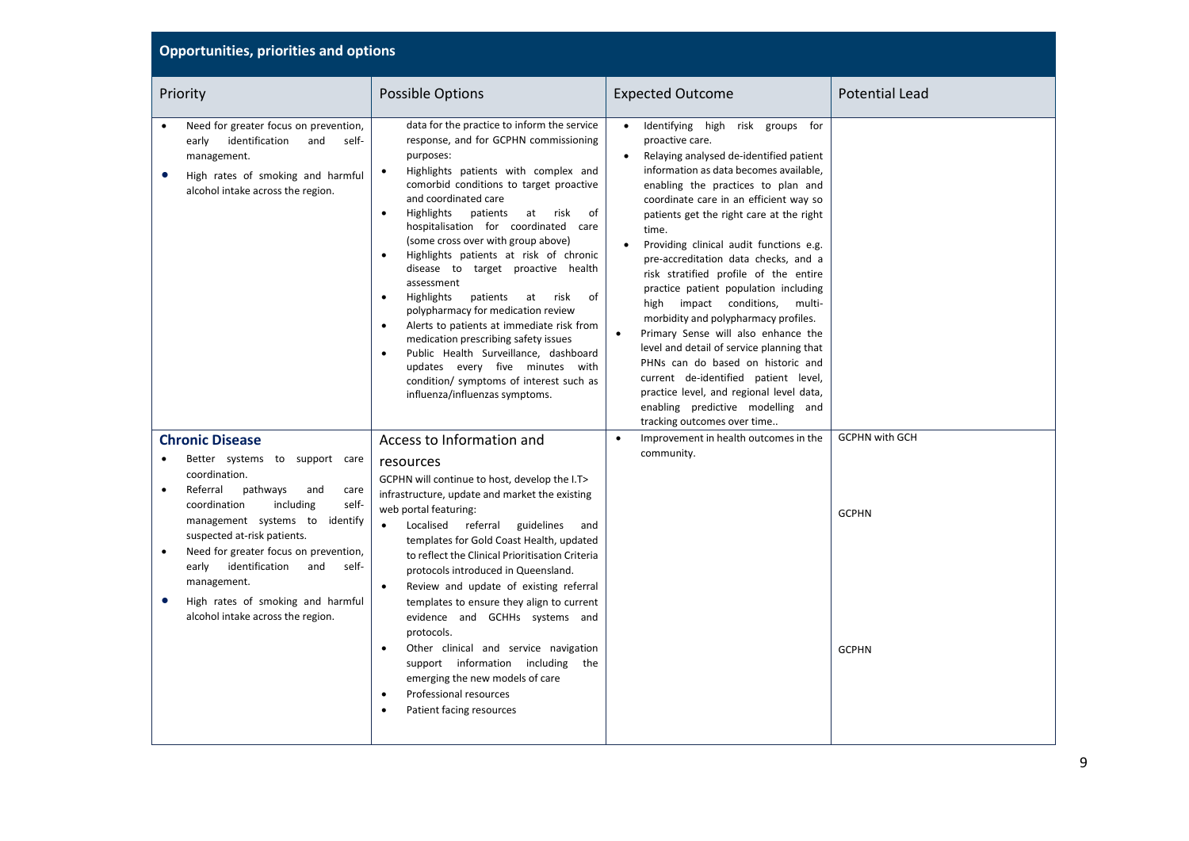| Priority                                                                                                                                                                                                                                                                                                                                                                                   | <b>Possible Options</b>                                                                                                                                                                                                                                                                                                                                                                                                                                                                                                                                                                                                                                                                                                                                                               | <b>Expected Outcome</b>                                                                                                                                                                                                                                                                                                                                                                                                                                                                                                                                                                                                                                                                                                                                                                                                                    | <b>Potential Lead</b>        |
|--------------------------------------------------------------------------------------------------------------------------------------------------------------------------------------------------------------------------------------------------------------------------------------------------------------------------------------------------------------------------------------------|---------------------------------------------------------------------------------------------------------------------------------------------------------------------------------------------------------------------------------------------------------------------------------------------------------------------------------------------------------------------------------------------------------------------------------------------------------------------------------------------------------------------------------------------------------------------------------------------------------------------------------------------------------------------------------------------------------------------------------------------------------------------------------------|--------------------------------------------------------------------------------------------------------------------------------------------------------------------------------------------------------------------------------------------------------------------------------------------------------------------------------------------------------------------------------------------------------------------------------------------------------------------------------------------------------------------------------------------------------------------------------------------------------------------------------------------------------------------------------------------------------------------------------------------------------------------------------------------------------------------------------------------|------------------------------|
| Need for greater focus on prevention,<br>identification<br>early<br>and<br>self-<br>management.<br>High rates of smoking and harmful<br>$\bullet$<br>alcohol intake across the region.                                                                                                                                                                                                     | data for the practice to inform the service<br>response, and for GCPHN commissioning<br>purposes:<br>Highlights patients with complex and<br>comorbid conditions to target proactive<br>and coordinated care<br>Highlights<br>patients<br>at<br>risk<br>of<br>$\bullet$<br>hospitalisation for coordinated care<br>(some cross over with group above)<br>Highlights patients at risk of chronic<br>disease to target proactive health<br>assessment<br>of<br>Highlights<br>patients<br>at<br>risk<br>polypharmacy for medication review<br>Alerts to patients at immediate risk from<br>medication prescribing safety issues<br>Public Health Surveillance, dashboard<br>updates every five minutes with<br>condition/ symptoms of interest such as<br>influenza/influenzas symptoms. | Identifying high risk groups for<br>$\bullet$<br>proactive care.<br>Relaying analysed de-identified patient<br>information as data becomes available,<br>enabling the practices to plan and<br>coordinate care in an efficient way so<br>patients get the right care at the right<br>time.<br>Providing clinical audit functions e.g.<br>pre-accreditation data checks, and a<br>risk stratified profile of the entire<br>practice patient population including<br>high impact conditions,<br>multi-<br>morbidity and polypharmacy profiles.<br>Primary Sense will also enhance the<br>$\bullet$<br>level and detail of service planning that<br>PHNs can do based on historic and<br>current de-identified patient level,<br>practice level, and regional level data,<br>enabling predictive modelling and<br>tracking outcomes over time |                              |
| <b>Chronic Disease</b>                                                                                                                                                                                                                                                                                                                                                                     | Access to Information and                                                                                                                                                                                                                                                                                                                                                                                                                                                                                                                                                                                                                                                                                                                                                             | Improvement in health outcomes in the<br>$\bullet$                                                                                                                                                                                                                                                                                                                                                                                                                                                                                                                                                                                                                                                                                                                                                                                         | <b>GCPHN with GCH</b>        |
| Better systems to support care<br>coordination.<br>Referral<br>pathways<br>and<br>care<br>coordination<br>including<br>self-<br>management systems to<br>identify<br>suspected at-risk patients.<br>Need for greater focus on prevention,<br>$\bullet$<br>identification<br>and<br>self-<br>early<br>management.<br>High rates of smoking and harmful<br>alcohol intake across the region. | resources<br>GCPHN will continue to host, develop the I.T><br>infrastructure, update and market the existing<br>web portal featuring:<br>Localised referral guidelines<br>$\bullet$<br>and<br>templates for Gold Coast Health, updated<br>to reflect the Clinical Prioritisation Criteria<br>protocols introduced in Queensland.<br>Review and update of existing referral<br>$\bullet$<br>templates to ensure they align to current<br>evidence and GCHHs systems and<br>protocols.<br>Other clinical and service navigation<br>support information including<br>the<br>emerging the new models of care<br>Professional resources<br>Patient facing resources                                                                                                                        | community.                                                                                                                                                                                                                                                                                                                                                                                                                                                                                                                                                                                                                                                                                                                                                                                                                                 | <b>GCPHN</b><br><b>GCPHN</b> |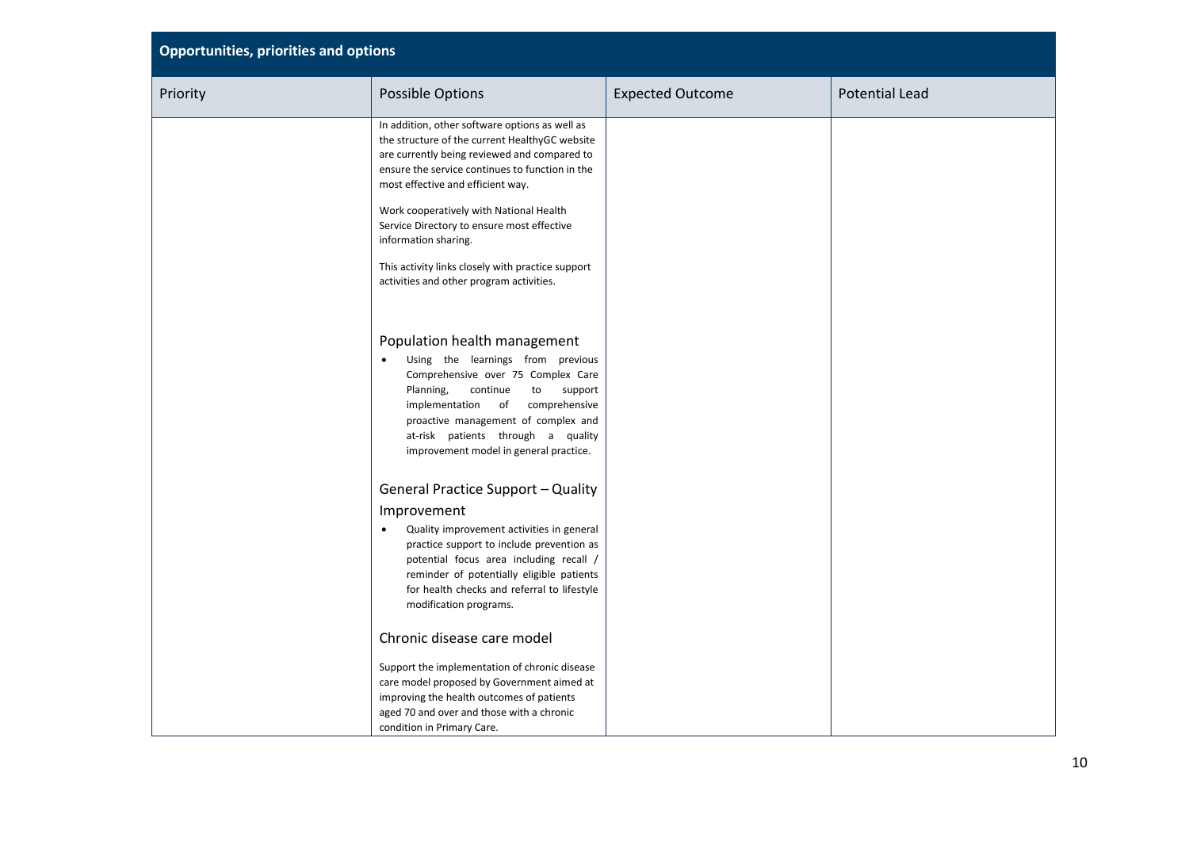| <b>Opportunities, priorities and options</b> |                                                                                                                                                                                                                                                                                                                                                           |                         |                       |  |
|----------------------------------------------|-----------------------------------------------------------------------------------------------------------------------------------------------------------------------------------------------------------------------------------------------------------------------------------------------------------------------------------------------------------|-------------------------|-----------------------|--|
| Priority                                     | <b>Possible Options</b>                                                                                                                                                                                                                                                                                                                                   | <b>Expected Outcome</b> | <b>Potential Lead</b> |  |
|                                              | In addition, other software options as well as<br>the structure of the current HealthyGC website<br>are currently being reviewed and compared to<br>ensure the service continues to function in the<br>most effective and efficient way.<br>Work cooperatively with National Health<br>Service Directory to ensure most effective<br>information sharing. |                         |                       |  |
|                                              | This activity links closely with practice support<br>activities and other program activities.                                                                                                                                                                                                                                                             |                         |                       |  |
|                                              | Population health management<br>Using the learnings from previous<br>$\bullet$<br>Comprehensive over 75 Complex Care<br>Planning,<br>continue<br>to<br>support<br>comprehensive<br>implementation of<br>proactive management of complex and<br>at-risk patients through a quality<br>improvement model in general practice.                               |                         |                       |  |
|                                              | <b>General Practice Support - Quality</b><br>Improvement<br>Quality improvement activities in general<br>$\bullet$<br>practice support to include prevention as<br>potential focus area including recall /<br>reminder of potentially eligible patients<br>for health checks and referral to lifestyle<br>modification programs.                          |                         |                       |  |
|                                              | Chronic disease care model                                                                                                                                                                                                                                                                                                                                |                         |                       |  |
|                                              | Support the implementation of chronic disease<br>care model proposed by Government aimed at<br>improving the health outcomes of patients<br>aged 70 and over and those with a chronic<br>condition in Primary Care.                                                                                                                                       |                         |                       |  |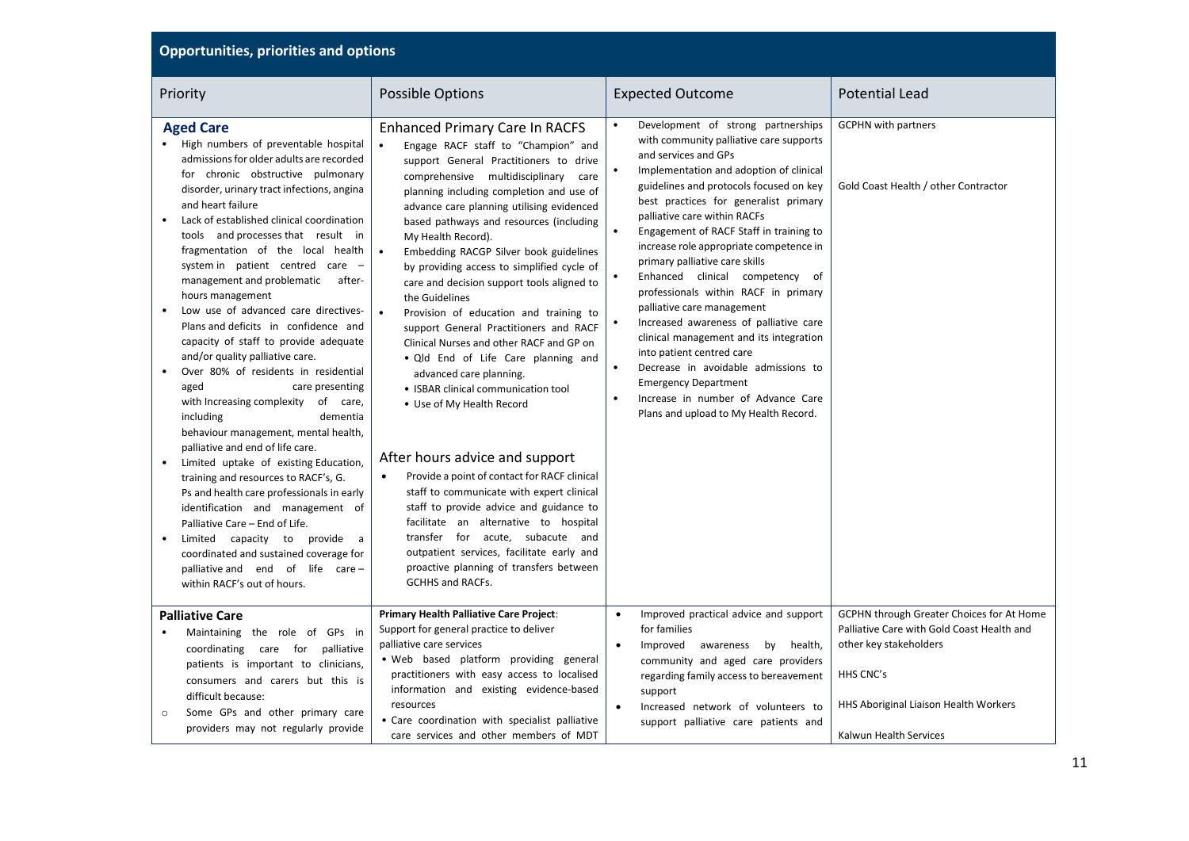| <b>Opportunities, priorities and options</b>                                                                                                                                                                                                                                                                                                                                                                                                                                                                                                                                                                                                                                                                                                                                                                                                                                                                    |                                                                                                                                                                                                                                                                                                                                                                                                                                                                                                                                                                                                                                                                                                                                                                                                                                                                       |                                                                                                                                                                                                                                                                                                                                                                                                                                                                                                                                                                                                                                                                                                                                                                                                                                               |                                                                                                                                                                                                   |  |
|-----------------------------------------------------------------------------------------------------------------------------------------------------------------------------------------------------------------------------------------------------------------------------------------------------------------------------------------------------------------------------------------------------------------------------------------------------------------------------------------------------------------------------------------------------------------------------------------------------------------------------------------------------------------------------------------------------------------------------------------------------------------------------------------------------------------------------------------------------------------------------------------------------------------|-----------------------------------------------------------------------------------------------------------------------------------------------------------------------------------------------------------------------------------------------------------------------------------------------------------------------------------------------------------------------------------------------------------------------------------------------------------------------------------------------------------------------------------------------------------------------------------------------------------------------------------------------------------------------------------------------------------------------------------------------------------------------------------------------------------------------------------------------------------------------|-----------------------------------------------------------------------------------------------------------------------------------------------------------------------------------------------------------------------------------------------------------------------------------------------------------------------------------------------------------------------------------------------------------------------------------------------------------------------------------------------------------------------------------------------------------------------------------------------------------------------------------------------------------------------------------------------------------------------------------------------------------------------------------------------------------------------------------------------|---------------------------------------------------------------------------------------------------------------------------------------------------------------------------------------------------|--|
| Priority                                                                                                                                                                                                                                                                                                                                                                                                                                                                                                                                                                                                                                                                                                                                                                                                                                                                                                        | <b>Possible Options</b>                                                                                                                                                                                                                                                                                                                                                                                                                                                                                                                                                                                                                                                                                                                                                                                                                                               | <b>Expected Outcome</b>                                                                                                                                                                                                                                                                                                                                                                                                                                                                                                                                                                                                                                                                                                                                                                                                                       | <b>Potential Lead</b>                                                                                                                                                                             |  |
| <b>Aged Care</b><br>• High numbers of preventable hospital<br>admissions for older adults are recorded<br>for chronic obstructive pulmonary<br>disorder, urinary tract infections, angina<br>and heart failure<br>Lack of established clinical coordination<br>tools and processes that result in<br>fragmentation of the local health<br>system in patient centred care -<br>management and problematic<br>after-<br>hours management<br>Low use of advanced care directives-<br>Plans and deficits in confidence and<br>capacity of staff to provide adequate<br>and/or quality palliative care.<br>Over 80% of residents in residential<br>aged<br>care presenting<br>with Increasing complexity of care,<br>including<br>dementia<br>behaviour management, mental health,<br>palliative and end of life care.<br>Limited uptake of existing Education,<br>$\bullet$<br>training and resources to RACF's, G. | <b>Enhanced Primary Care In RACFS</b><br>Engage RACF staff to "Champion" and<br>support General Practitioners to drive<br>comprehensive multidisciplinary<br>care<br>planning including completion and use of<br>advance care planning utilising evidenced<br>based pathways and resources (including<br>My Health Record).<br>Embedding RACGP Silver book guidelines<br>by providing access to simplified cycle of<br>care and decision support tools aligned to<br>the Guidelines<br>$\bullet$<br>Provision of education and training to<br>support General Practitioners and RACF<br>Clinical Nurses and other RACF and GP on<br>. Qld End of Life Care planning and<br>advanced care planning.<br>• ISBAR clinical communication tool<br>• Use of My Health Record<br>After hours advice and support<br>Provide a point of contact for RACF clinical<br>$\bullet$ | Development of strong partnerships<br>with community palliative care supports<br>and services and GPs<br>Implementation and adoption of clinical<br>$\bullet$<br>guidelines and protocols focused on key<br>best practices for generalist primary<br>palliative care within RACFs<br>$\bullet$<br>Engagement of RACF Staff in training to<br>increase role appropriate competence in<br>primary palliative care skills<br>Enhanced clinical competency of<br>professionals within RACF in primary<br>palliative care management<br>Increased awareness of palliative care<br>$\bullet$<br>clinical management and its integration<br>into patient centred care<br>Decrease in avoidable admissions to<br>$\bullet$<br><b>Emergency Department</b><br>Increase in number of Advance Care<br>$\bullet$<br>Plans and upload to My Health Record. | <b>GCPHN</b> with partners<br>Gold Coast Health / other Contractor                                                                                                                                |  |
| Ps and health care professionals in early<br>identification and management of<br>Palliative Care - End of Life.<br>Limited capacity to provide a<br>coordinated and sustained coverage for<br>palliative and end of life care -<br>within RACF's out of hours.                                                                                                                                                                                                                                                                                                                                                                                                                                                                                                                                                                                                                                                  | staff to communicate with expert clinical<br>staff to provide advice and guidance to<br>facilitate an alternative to hospital<br>transfer for acute, subacute and<br>outpatient services, facilitate early and<br>proactive planning of transfers between<br><b>GCHHS and RACFs.</b>                                                                                                                                                                                                                                                                                                                                                                                                                                                                                                                                                                                  |                                                                                                                                                                                                                                                                                                                                                                                                                                                                                                                                                                                                                                                                                                                                                                                                                                               |                                                                                                                                                                                                   |  |
| <b>Palliative Care</b><br>Maintaining the role of GPs in<br>coordinating care for<br>palliative<br>patients is important to clinicians,<br>consumers and carers but this is<br>difficult because:<br>Some GPs and other primary care<br>$\circ$<br>providers may not regularly provide                                                                                                                                                                                                                                                                                                                                                                                                                                                                                                                                                                                                                          | Primary Health Palliative Care Project:<br>Support for general practice to deliver<br>palliative care services<br>. Web based platform providing general<br>practitioners with easy access to localised<br>information and existing evidence-based<br>resources<br>• Care coordination with specialist palliative<br>care services and other members of MDT                                                                                                                                                                                                                                                                                                                                                                                                                                                                                                           | Improved practical advice and support<br>$\bullet$<br>for families<br>Improved awareness by health,<br>$\bullet$<br>community and aged care providers<br>regarding family access to bereavement<br>support<br>Increased network of volunteers to<br>support palliative care patients and                                                                                                                                                                                                                                                                                                                                                                                                                                                                                                                                                      | GCPHN through Greater Choices for At Home<br>Palliative Care with Gold Coast Health and<br>other key stakeholders<br>HHS CNC's<br>HHS Aboriginal Liaison Health Workers<br>Kalwun Health Services |  |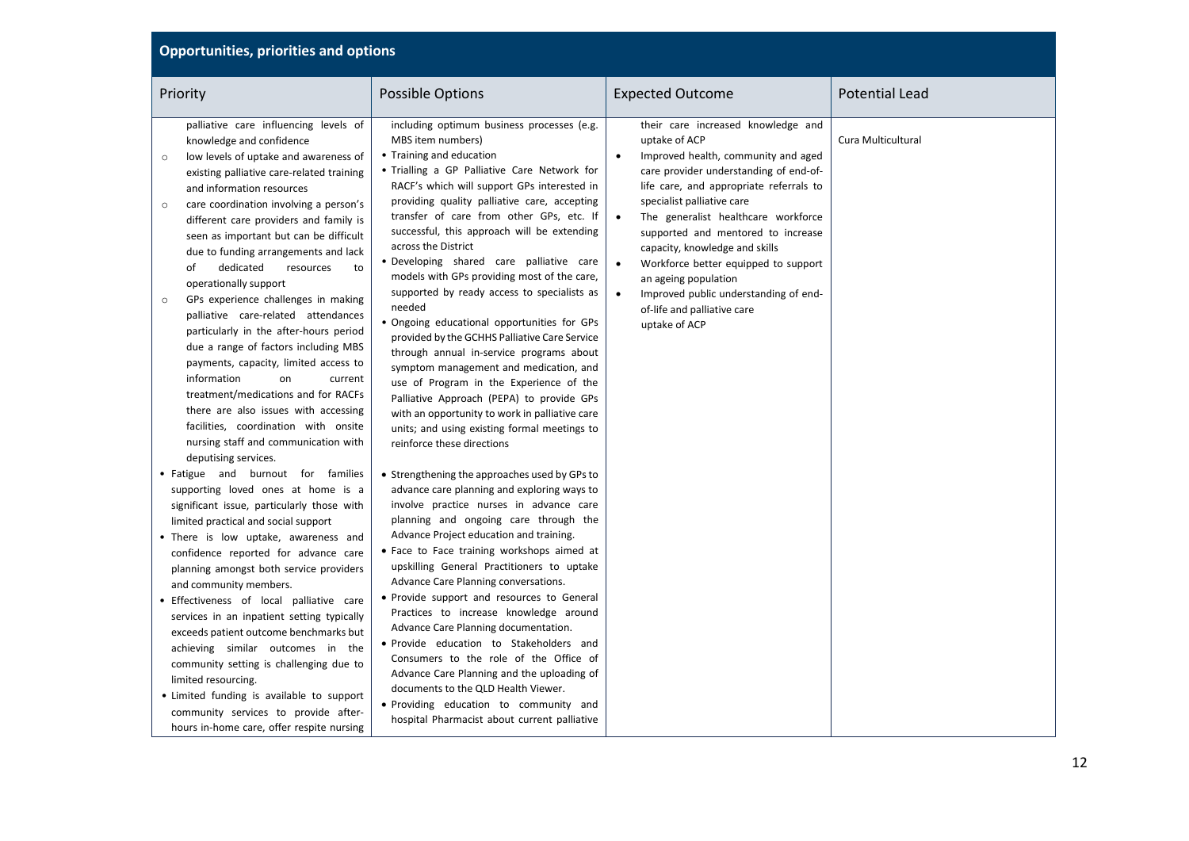| Priority                                                                                                                                                                                                                                                                                                                                                                                                                                                                                                                                                                                                                                                                                                                                                                                                                                                                                   | Possible Options                                                                                                                                                                                                                                                                                                                                                                                                                                                                                                                                                                                                                                                                                                                                                                                                                                                                                                               | <b>Expected Outcome</b>                                                                                                                                                                                                                                                                                                                                                                                                                                                                                                      | <b>Potential Lead</b> |
|--------------------------------------------------------------------------------------------------------------------------------------------------------------------------------------------------------------------------------------------------------------------------------------------------------------------------------------------------------------------------------------------------------------------------------------------------------------------------------------------------------------------------------------------------------------------------------------------------------------------------------------------------------------------------------------------------------------------------------------------------------------------------------------------------------------------------------------------------------------------------------------------|--------------------------------------------------------------------------------------------------------------------------------------------------------------------------------------------------------------------------------------------------------------------------------------------------------------------------------------------------------------------------------------------------------------------------------------------------------------------------------------------------------------------------------------------------------------------------------------------------------------------------------------------------------------------------------------------------------------------------------------------------------------------------------------------------------------------------------------------------------------------------------------------------------------------------------|------------------------------------------------------------------------------------------------------------------------------------------------------------------------------------------------------------------------------------------------------------------------------------------------------------------------------------------------------------------------------------------------------------------------------------------------------------------------------------------------------------------------------|-----------------------|
| palliative care influencing levels of<br>knowledge and confidence<br>low levels of uptake and awareness of<br>$\circ$<br>existing palliative care-related training<br>and information resources<br>care coordination involving a person's<br>$\circ$<br>different care providers and family is<br>seen as important but can be difficult<br>due to funding arrangements and lack<br>dedicated<br>of<br>resources<br>to<br>operationally support<br>GPs experience challenges in making<br>$\circ$<br>palliative care-related attendances<br>particularly in the after-hours period<br>due a range of factors including MBS<br>payments, capacity, limited access to<br>information<br>on<br>current<br>treatment/medications and for RACFs<br>there are also issues with accessing<br>facilities, coordination with onsite<br>nursing staff and communication with<br>deputising services. | including optimum business processes (e.g.<br>MBS item numbers)<br>• Training and education<br>. Trialling a GP Palliative Care Network for<br>RACF's which will support GPs interested in<br>providing quality palliative care, accepting<br>transfer of care from other GPs, etc. If<br>successful, this approach will be extending<br>across the District<br>. Developing shared care palliative care<br>models with GPs providing most of the care,<br>supported by ready access to specialists as<br>needed<br>. Ongoing educational opportunities for GPs<br>provided by the GCHHS Palliative Care Service<br>through annual in-service programs about<br>symptom management and medication, and<br>use of Program in the Experience of the<br>Palliative Approach (PEPA) to provide GPs<br>with an opportunity to work in palliative care<br>units; and using existing formal meetings to<br>reinforce these directions | their care increased knowledge and<br>uptake of ACP<br>Improved health, community and aged<br>$\bullet$<br>care provider understanding of end-of-<br>life care, and appropriate referrals to<br>specialist palliative care<br>$\bullet$<br>The generalist healthcare workforce<br>supported and mentored to increase<br>capacity, knowledge and skills<br>$\bullet$<br>Workforce better equipped to support<br>an ageing population<br>Improved public understanding of end-<br>of-life and palliative care<br>uptake of ACP | Cura Multicultural    |
| • Fatigue and burnout for families<br>supporting loved ones at home is a<br>significant issue, particularly those with<br>limited practical and social support<br>• There is low uptake, awareness and<br>confidence reported for advance care<br>planning amongst both service providers<br>and community members.<br>• Effectiveness of local palliative care<br>services in an inpatient setting typically<br>exceeds patient outcome benchmarks but<br>achieving similar outcomes in the<br>community setting is challenging due to<br>limited resourcing.<br>• Limited funding is available to support<br>community services to provide after-<br>hours in-home care, offer respite nursing                                                                                                                                                                                           | • Strengthening the approaches used by GPs to<br>advance care planning and exploring ways to<br>involve practice nurses in advance care<br>planning and ongoing care through the<br>Advance Project education and training.<br>• Face to Face training workshops aimed at<br>upskilling General Practitioners to uptake<br>Advance Care Planning conversations.<br>• Provide support and resources to General<br>Practices to increase knowledge around<br>Advance Care Planning documentation.<br>· Provide education to Stakeholders and<br>Consumers to the role of the Office of<br>Advance Care Planning and the uploading of<br>documents to the QLD Health Viewer.<br>. Providing education to community and<br>hospital Pharmacist about current palliative                                                                                                                                                            |                                                                                                                                                                                                                                                                                                                                                                                                                                                                                                                              |                       |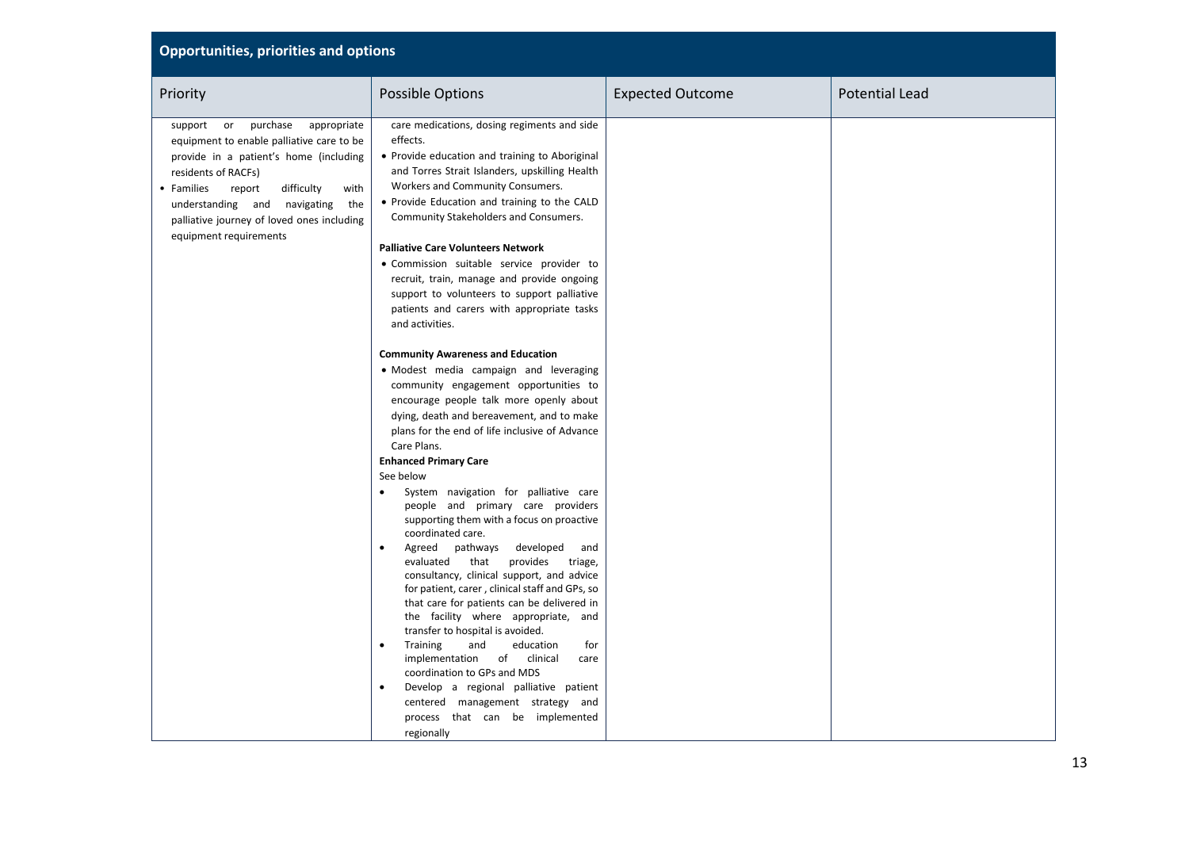| <b>Opportunities, priorities and options</b>                                                                                                                                                                                                                                                                        |                                                                                                                                                                                                                                                                                                                                                                                                                                                                                                                                                                                                                                                                                                                                                                                                                                                                                                                                                                                                                                                              |                         |                       |  |
|---------------------------------------------------------------------------------------------------------------------------------------------------------------------------------------------------------------------------------------------------------------------------------------------------------------------|--------------------------------------------------------------------------------------------------------------------------------------------------------------------------------------------------------------------------------------------------------------------------------------------------------------------------------------------------------------------------------------------------------------------------------------------------------------------------------------------------------------------------------------------------------------------------------------------------------------------------------------------------------------------------------------------------------------------------------------------------------------------------------------------------------------------------------------------------------------------------------------------------------------------------------------------------------------------------------------------------------------------------------------------------------------|-------------------------|-----------------------|--|
| Priority                                                                                                                                                                                                                                                                                                            | Possible Options                                                                                                                                                                                                                                                                                                                                                                                                                                                                                                                                                                                                                                                                                                                                                                                                                                                                                                                                                                                                                                             | <b>Expected Outcome</b> | <b>Potential Lead</b> |  |
| purchase<br>support<br>appropriate<br>or<br>equipment to enable palliative care to be<br>provide in a patient's home (including<br>residents of RACFs)<br>• Families<br>difficulty<br>report<br>with<br>understanding and navigating<br>the<br>palliative journey of loved ones including<br>equipment requirements | care medications, dosing regiments and side<br>effects.<br>• Provide education and training to Aboriginal<br>and Torres Strait Islanders, upskilling Health<br>Workers and Community Consumers.<br>• Provide Education and training to the CALD<br>Community Stakeholders and Consumers.                                                                                                                                                                                                                                                                                                                                                                                                                                                                                                                                                                                                                                                                                                                                                                     |                         |                       |  |
|                                                                                                                                                                                                                                                                                                                     | <b>Palliative Care Volunteers Network</b><br>• Commission suitable service provider to<br>recruit, train, manage and provide ongoing<br>support to volunteers to support palliative<br>patients and carers with appropriate tasks<br>and activities.                                                                                                                                                                                                                                                                                                                                                                                                                                                                                                                                                                                                                                                                                                                                                                                                         |                         |                       |  |
|                                                                                                                                                                                                                                                                                                                     | <b>Community Awareness and Education</b><br>• Modest media campaign and leveraging<br>community engagement opportunities to<br>encourage people talk more openly about<br>dying, death and bereavement, and to make<br>plans for the end of life inclusive of Advance<br>Care Plans.<br><b>Enhanced Primary Care</b><br>See below<br>System navigation for palliative care<br>people and primary care providers<br>supporting them with a focus on proactive<br>coordinated care.<br>Agreed<br>pathways<br>developed<br>and<br>evaluated<br>that<br>provides<br>triage,<br>consultancy, clinical support, and advice<br>for patient, carer, clinical staff and GPs, so<br>that care for patients can be delivered in<br>the facility where appropriate, and<br>transfer to hospital is avoided.<br>Training<br>and<br>education<br>for<br>$\bullet$<br>implementation<br>clinical<br>of<br>care<br>coordination to GPs and MDS<br>Develop a regional palliative patient<br>centered management strategy and<br>process that can be implemented<br>regionally |                         |                       |  |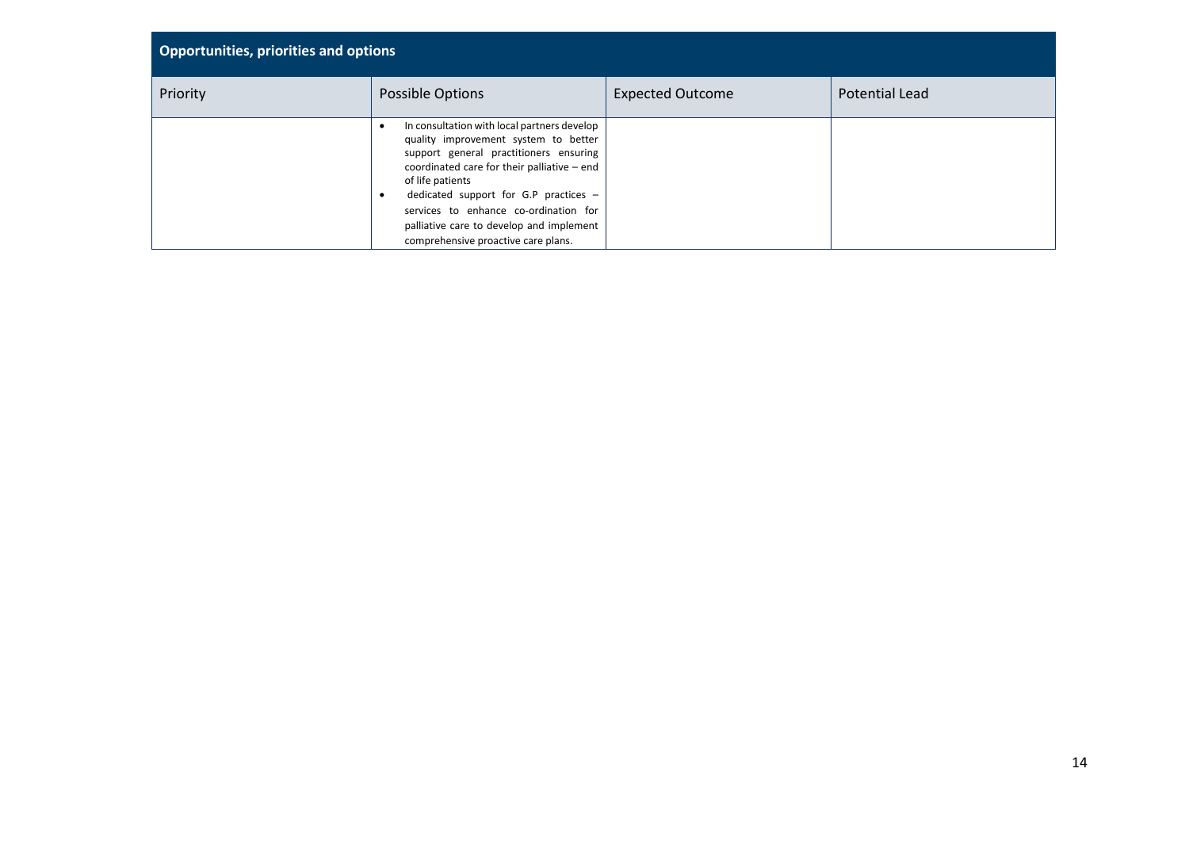| <b>Opportunities, priorities and options</b> |                                                                                                                                                                                                                                                                                                                                                                         |                         |                       |  |
|----------------------------------------------|-------------------------------------------------------------------------------------------------------------------------------------------------------------------------------------------------------------------------------------------------------------------------------------------------------------------------------------------------------------------------|-------------------------|-----------------------|--|
| Priority                                     | Possible Options                                                                                                                                                                                                                                                                                                                                                        | <b>Expected Outcome</b> | <b>Potential Lead</b> |  |
|                                              | In consultation with local partners develop<br>quality improvement system to better<br>support general practitioners ensuring<br>coordinated care for their palliative - end<br>of life patients<br>dedicated support for G.P practices $-$<br>services to enhance co-ordination for<br>palliative care to develop and implement<br>comprehensive proactive care plans. |                         |                       |  |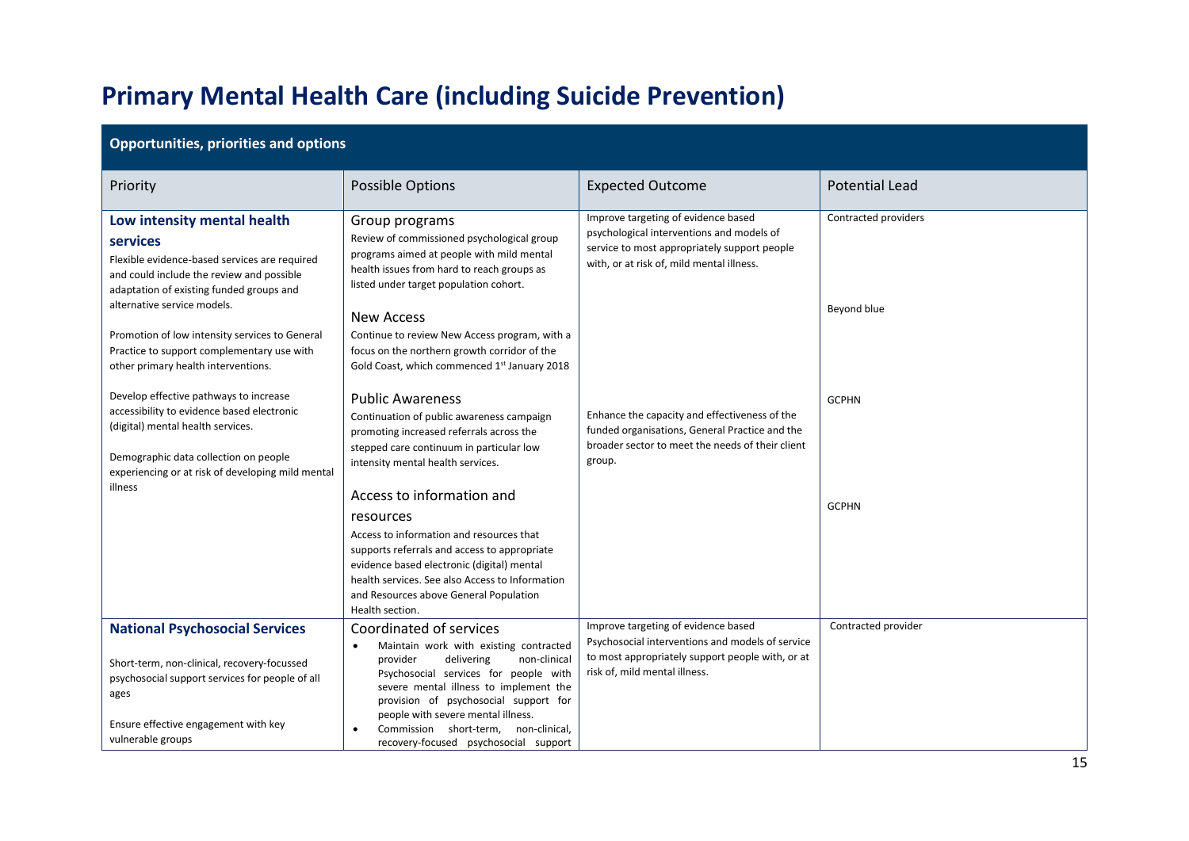## **Primary Mental Health Care (including Suicide Prevention)**

| <b>Opportunities, priorities and options</b>                                                                                                                                                                            |                                                                                                                                                                                                                                                                                                                                                                                          |                                                                                                                                                                               |                       |  |
|-------------------------------------------------------------------------------------------------------------------------------------------------------------------------------------------------------------------------|------------------------------------------------------------------------------------------------------------------------------------------------------------------------------------------------------------------------------------------------------------------------------------------------------------------------------------------------------------------------------------------|-------------------------------------------------------------------------------------------------------------------------------------------------------------------------------|-----------------------|--|
| Priority                                                                                                                                                                                                                | Possible Options                                                                                                                                                                                                                                                                                                                                                                         | <b>Expected Outcome</b>                                                                                                                                                       | <b>Potential Lead</b> |  |
| Low intensity mental health<br>services<br>Flexible evidence-based services are required<br>and could include the review and possible<br>adaptation of existing funded groups and<br>alternative service models.        | Group programs<br>Review of commissioned psychological group<br>programs aimed at people with mild mental<br>health issues from hard to reach groups as<br>listed under target population cohort.                                                                                                                                                                                        | Improve targeting of evidence based<br>psychological interventions and models of<br>service to most appropriately support people<br>with, or at risk of, mild mental illness. | Contracted providers  |  |
| Promotion of low intensity services to General<br>Practice to support complementary use with<br>other primary health interventions.                                                                                     | <b>New Access</b><br>Continue to review New Access program, with a<br>focus on the northern growth corridor of the<br>Gold Coast, which commenced 1st January 2018                                                                                                                                                                                                                       |                                                                                                                                                                               | Beyond blue           |  |
| Develop effective pathways to increase<br>accessibility to evidence based electronic<br>(digital) mental health services.<br>Demographic data collection on people<br>experiencing or at risk of developing mild mental | <b>Public Awareness</b><br>Continuation of public awareness campaign<br>promoting increased referrals across the<br>stepped care continuum in particular low<br>intensity mental health services.                                                                                                                                                                                        | Enhance the capacity and effectiveness of the<br>funded organisations, General Practice and the<br>broader sector to meet the needs of their client<br>group.                 | <b>GCPHN</b>          |  |
| illness                                                                                                                                                                                                                 | Access to information and<br>resources<br>Access to information and resources that<br>supports referrals and access to appropriate<br>evidence based electronic (digital) mental<br>health services. See also Access to Information<br>and Resources above General Population<br>Health section.                                                                                         |                                                                                                                                                                               | <b>GCPHN</b>          |  |
| <b>National Psychosocial Services</b><br>Short-term, non-clinical, recovery-focussed<br>psychosocial support services for people of all<br>ages<br>Ensure effective engagement with key<br>vulnerable groups            | Coordinated of services<br>Maintain work with existing contracted<br>$\bullet$<br>delivering<br>non-clinical<br>provider<br>Psychosocial services for people with<br>severe mental illness to implement the<br>provision of psychosocial support for<br>people with severe mental illness.<br>Commission short-term, non-clinical,<br>$\bullet$<br>recovery-focused psychosocial support | Improve targeting of evidence based<br>Psychosocial interventions and models of service<br>to most appropriately support people with, or at<br>risk of, mild mental illness.  | Contracted provider   |  |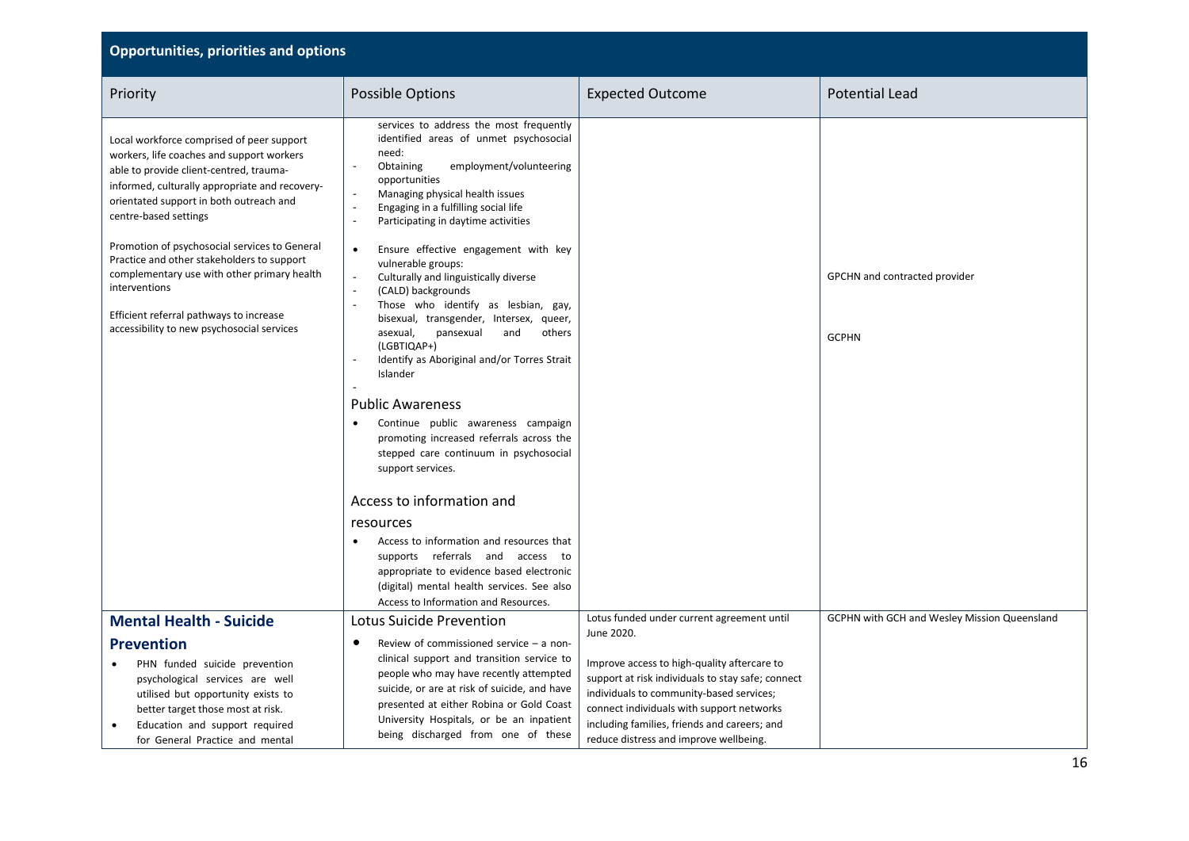| <b>Opportunities, priorities and options</b>                                                                                                                                                                                                                                                                                                                                                                                                                                                                    |                                                                                                                                                                                                                                                                                                                                                                                                                                                                                                                                                                                                                                                                                                                                                                                                                                                                                                       |                                                                                                                                                                                                                                                                                                   |                                               |  |  |
|-----------------------------------------------------------------------------------------------------------------------------------------------------------------------------------------------------------------------------------------------------------------------------------------------------------------------------------------------------------------------------------------------------------------------------------------------------------------------------------------------------------------|-------------------------------------------------------------------------------------------------------------------------------------------------------------------------------------------------------------------------------------------------------------------------------------------------------------------------------------------------------------------------------------------------------------------------------------------------------------------------------------------------------------------------------------------------------------------------------------------------------------------------------------------------------------------------------------------------------------------------------------------------------------------------------------------------------------------------------------------------------------------------------------------------------|---------------------------------------------------------------------------------------------------------------------------------------------------------------------------------------------------------------------------------------------------------------------------------------------------|-----------------------------------------------|--|--|
| Priority                                                                                                                                                                                                                                                                                                                                                                                                                                                                                                        | <b>Possible Options</b>                                                                                                                                                                                                                                                                                                                                                                                                                                                                                                                                                                                                                                                                                                                                                                                                                                                                               | <b>Expected Outcome</b>                                                                                                                                                                                                                                                                           | <b>Potential Lead</b>                         |  |  |
| Local workforce comprised of peer support<br>workers, life coaches and support workers<br>able to provide client-centred, trauma-<br>informed, culturally appropriate and recovery-<br>orientated support in both outreach and<br>centre-based settings<br>Promotion of psychosocial services to General<br>Practice and other stakeholders to support<br>complementary use with other primary health<br>interventions<br>Efficient referral pathways to increase<br>accessibility to new psychosocial services | services to address the most frequently<br>identified areas of unmet psychosocial<br>need:<br>employment/volunteering<br>Obtaining<br>opportunities<br>Managing physical health issues<br>$\tilde{\phantom{a}}$<br>Engaging in a fulfilling social life<br>$\sim$<br>Participating in daytime activities<br>Ensure effective engagement with key<br>$\bullet$<br>vulnerable groups:<br>$\overline{\phantom{a}}$<br>Culturally and linguistically diverse<br>(CALD) backgrounds<br>$\ddot{\phantom{a}}$<br>Those who identify as lesbian, gay,<br>bisexual, transgender, Intersex, queer,<br>asexual,<br>pansexual<br>and<br>others<br>(LGBTIQAP+)<br>Identify as Aboriginal and/or Torres Strait<br>Islander<br><b>Public Awareness</b><br>Continue public awareness campaign<br>$\bullet$<br>promoting increased referrals across the<br>stepped care continuum in psychosocial<br>support services. |                                                                                                                                                                                                                                                                                                   | GPCHN and contracted provider<br><b>GCPHN</b> |  |  |
|                                                                                                                                                                                                                                                                                                                                                                                                                                                                                                                 | Access to information and<br>resources<br>Access to information and resources that<br>supports referrals and access to<br>appropriate to evidence based electronic<br>(digital) mental health services. See also<br>Access to Information and Resources.                                                                                                                                                                                                                                                                                                                                                                                                                                                                                                                                                                                                                                              |                                                                                                                                                                                                                                                                                                   |                                               |  |  |
| <b>Mental Health - Suicide</b>                                                                                                                                                                                                                                                                                                                                                                                                                                                                                  | Lotus Suicide Prevention                                                                                                                                                                                                                                                                                                                                                                                                                                                                                                                                                                                                                                                                                                                                                                                                                                                                              | Lotus funded under current agreement until                                                                                                                                                                                                                                                        | GCPHN with GCH and Wesley Mission Queensland  |  |  |
| <b>Prevention</b><br>PHN funded suicide prevention<br>psychological services are well<br>utilised but opportunity exists to<br>better target those most at risk.<br>Education and support required<br>$\bullet$<br>for General Practice and mental                                                                                                                                                                                                                                                              | $\bullet$<br>Review of commissioned service $-$ a non-<br>clinical support and transition service to<br>people who may have recently attempted<br>suicide, or are at risk of suicide, and have<br>presented at either Robina or Gold Coast<br>University Hospitals, or be an inpatient<br>being discharged from one of these                                                                                                                                                                                                                                                                                                                                                                                                                                                                                                                                                                          | June 2020.<br>Improve access to high-quality aftercare to<br>support at risk individuals to stay safe; connect<br>individuals to community-based services;<br>connect individuals with support networks<br>including families, friends and careers; and<br>reduce distress and improve wellbeing. |                                               |  |  |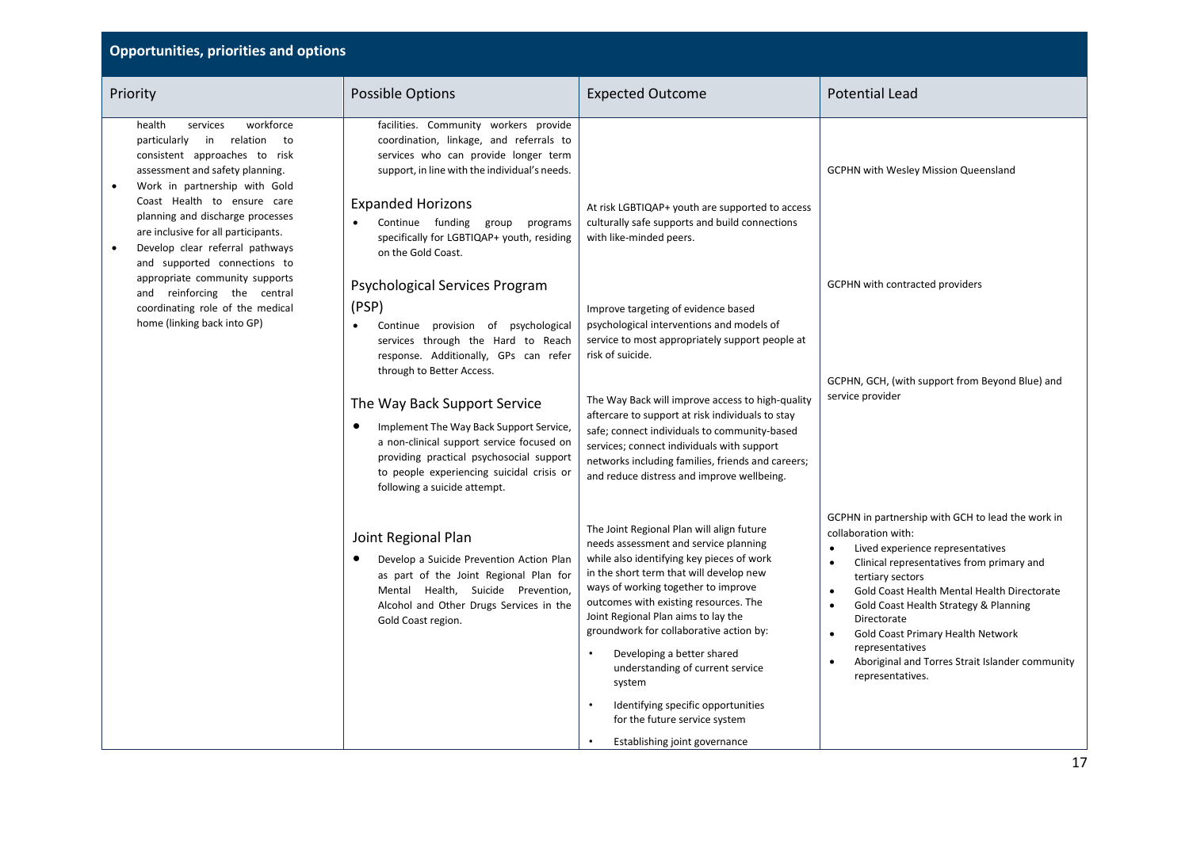| <b>Opportunities, priorities and options</b>                                                                                                                                                                                                                                                                                                                                  |                                                                                                                                                                                                                                                                                                                                                                                                                                                  |                                                                                                                                                                                                                                                                                                                                                                                                                                                                                                                                  |                                                                                                                                                                                                                                                                                                                                                                                                                                                                                                   |  |
|-------------------------------------------------------------------------------------------------------------------------------------------------------------------------------------------------------------------------------------------------------------------------------------------------------------------------------------------------------------------------------|--------------------------------------------------------------------------------------------------------------------------------------------------------------------------------------------------------------------------------------------------------------------------------------------------------------------------------------------------------------------------------------------------------------------------------------------------|----------------------------------------------------------------------------------------------------------------------------------------------------------------------------------------------------------------------------------------------------------------------------------------------------------------------------------------------------------------------------------------------------------------------------------------------------------------------------------------------------------------------------------|---------------------------------------------------------------------------------------------------------------------------------------------------------------------------------------------------------------------------------------------------------------------------------------------------------------------------------------------------------------------------------------------------------------------------------------------------------------------------------------------------|--|
| Priority                                                                                                                                                                                                                                                                                                                                                                      | Possible Options                                                                                                                                                                                                                                                                                                                                                                                                                                 | <b>Expected Outcome</b>                                                                                                                                                                                                                                                                                                                                                                                                                                                                                                          | <b>Potential Lead</b>                                                                                                                                                                                                                                                                                                                                                                                                                                                                             |  |
| workforce<br>health<br>services<br>particularly in relation<br>to<br>consistent approaches to risk<br>assessment and safety planning.<br>Work in partnership with Gold<br>$\bullet$<br>Coast Health to ensure care<br>planning and discharge processes<br>are inclusive for all participants.<br>Develop clear referral pathways<br>$\bullet$<br>and supported connections to | facilities. Community workers provide<br>coordination, linkage, and referrals to<br>services who can provide longer term<br>support, in line with the individual's needs.<br><b>Expanded Horizons</b><br>Continue funding<br>group<br>programs<br>specifically for LGBTIQAP+ youth, residing<br>on the Gold Coast.                                                                                                                               | At risk LGBTIQAP+ youth are supported to access<br>culturally safe supports and build connections<br>with like-minded peers.                                                                                                                                                                                                                                                                                                                                                                                                     | <b>GCPHN with Wesley Mission Queensland</b>                                                                                                                                                                                                                                                                                                                                                                                                                                                       |  |
| appropriate community supports<br>and reinforcing the central<br>coordinating role of the medical<br>home (linking back into GP)                                                                                                                                                                                                                                              | Psychological Services Program<br>(PSP)<br>Continue provision of psychological<br>services through the Hard to Reach<br>response. Additionally, GPs can refer<br>through to Better Access.<br>The Way Back Support Service<br>Implement The Way Back Support Service,<br>٠<br>a non-clinical support service focused on<br>providing practical psychosocial support<br>to people experiencing suicidal crisis or<br>following a suicide attempt. | Improve targeting of evidence based<br>psychological interventions and models of<br>service to most appropriately support people at<br>risk of suicide.<br>The Way Back will improve access to high-quality<br>aftercare to support at risk individuals to stay<br>safe; connect individuals to community-based<br>services; connect individuals with support<br>networks including families, friends and careers;<br>and reduce distress and improve wellbeing.                                                                 | <b>GCPHN with contracted providers</b><br>GCPHN, GCH, (with support from Beyond Blue) and<br>service provider                                                                                                                                                                                                                                                                                                                                                                                     |  |
|                                                                                                                                                                                                                                                                                                                                                                               | Joint Regional Plan<br>Develop a Suicide Prevention Action Plan<br>as part of the Joint Regional Plan for<br>Mental Health, Suicide Prevention,<br>Alcohol and Other Drugs Services in the<br>Gold Coast region.                                                                                                                                                                                                                                 | The Joint Regional Plan will align future<br>needs assessment and service planning<br>while also identifying key pieces of work<br>in the short term that will develop new<br>ways of working together to improve<br>outcomes with existing resources. The<br>Joint Regional Plan aims to lay the<br>groundwork for collaborative action by:<br>Developing a better shared<br>understanding of current service<br>system<br>Identifying specific opportunities<br>for the future service system<br>Establishing joint governance | GCPHN in partnership with GCH to lead the work in<br>collaboration with:<br>Lived experience representatives<br>$\bullet$<br>Clinical representatives from primary and<br>$\bullet$<br>tertiary sectors<br>Gold Coast Health Mental Health Directorate<br>$\bullet$<br>Gold Coast Health Strategy & Planning<br>$\bullet$<br>Directorate<br>Gold Coast Primary Health Network<br>$\bullet$<br>representatives<br>Aboriginal and Torres Strait Islander community<br>$\bullet$<br>representatives. |  |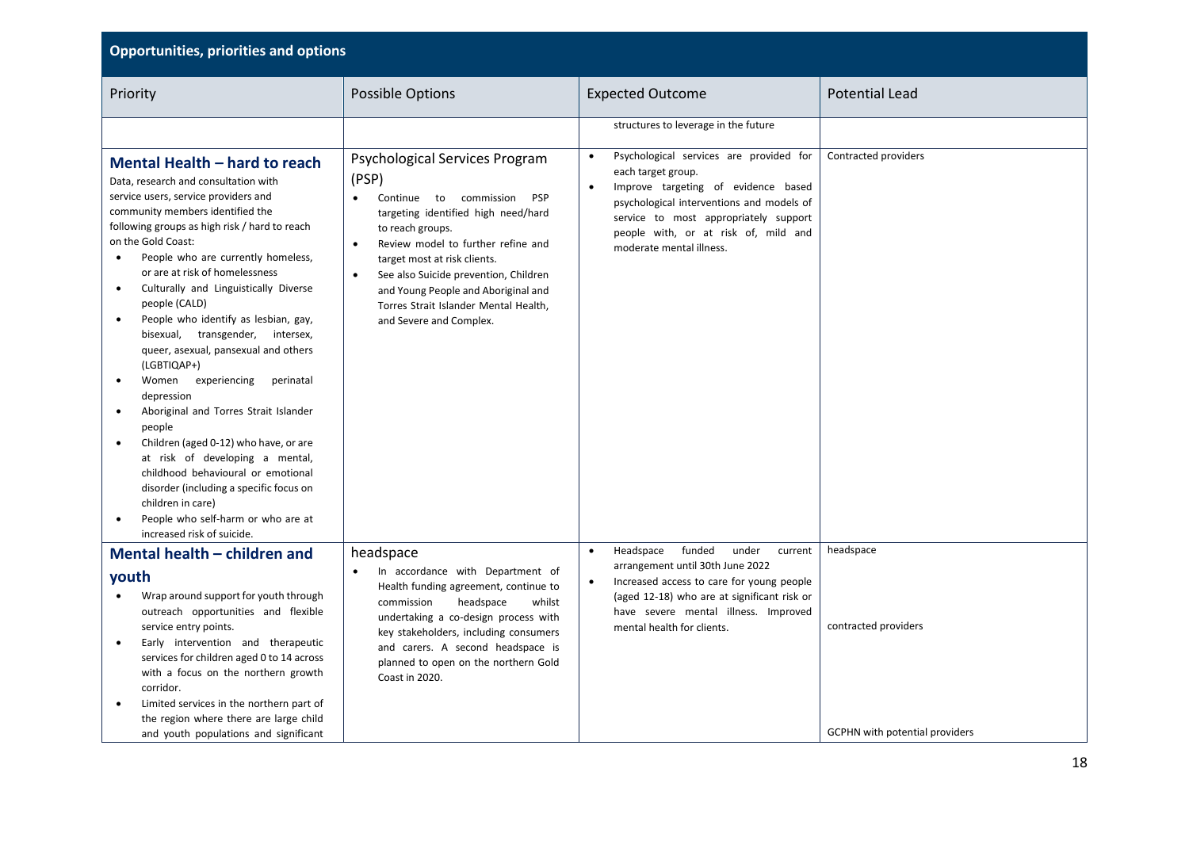| <b>Opportunities, priorities and options</b>                                                                                                                                                                                                                                                                                                                                                                                                                                                                                                                                                                                                                                                                                                                                                                                                                                                                                                          |                                                                                                                                                                                                                                                                                                                                                                                                |                                                                                                                                                                                                                                                                             |                                                                            |  |  |
|-------------------------------------------------------------------------------------------------------------------------------------------------------------------------------------------------------------------------------------------------------------------------------------------------------------------------------------------------------------------------------------------------------------------------------------------------------------------------------------------------------------------------------------------------------------------------------------------------------------------------------------------------------------------------------------------------------------------------------------------------------------------------------------------------------------------------------------------------------------------------------------------------------------------------------------------------------|------------------------------------------------------------------------------------------------------------------------------------------------------------------------------------------------------------------------------------------------------------------------------------------------------------------------------------------------------------------------------------------------|-----------------------------------------------------------------------------------------------------------------------------------------------------------------------------------------------------------------------------------------------------------------------------|----------------------------------------------------------------------------|--|--|
| Priority                                                                                                                                                                                                                                                                                                                                                                                                                                                                                                                                                                                                                                                                                                                                                                                                                                                                                                                                              | Possible Options                                                                                                                                                                                                                                                                                                                                                                               | <b>Expected Outcome</b>                                                                                                                                                                                                                                                     | <b>Potential Lead</b>                                                      |  |  |
|                                                                                                                                                                                                                                                                                                                                                                                                                                                                                                                                                                                                                                                                                                                                                                                                                                                                                                                                                       |                                                                                                                                                                                                                                                                                                                                                                                                | structures to leverage in the future                                                                                                                                                                                                                                        |                                                                            |  |  |
| Mental Health - hard to reach<br>Data, research and consultation with<br>service users, service providers and<br>community members identified the<br>following groups as high risk / hard to reach<br>on the Gold Coast:<br>People who are currently homeless,<br>$\bullet$<br>or are at risk of homelessness<br>Culturally and Linguistically Diverse<br>$\bullet$<br>people (CALD)<br>People who identify as lesbian, gay,<br>$\bullet$<br>bisexual, transgender, intersex,<br>queer, asexual, pansexual and others<br>(LGBTIQAP+)<br>experiencing<br>Women<br>perinatal<br>$\bullet$<br>depression<br>Aboriginal and Torres Strait Islander<br>$\bullet$<br>people<br>Children (aged 0-12) who have, or are<br>$\bullet$<br>at risk of developing a mental,<br>childhood behavioural or emotional<br>disorder (including a specific focus on<br>children in care)<br>People who self-harm or who are at<br>$\bullet$<br>increased risk of suicide. | Psychological Services Program<br>(PSP)<br>Continue to commission<br><b>PSP</b><br>$\bullet$<br>targeting identified high need/hard<br>to reach groups.<br>Review model to further refine and<br>target most at risk clients.<br>See also Suicide prevention, Children<br>$\bullet$<br>and Young People and Aboriginal and<br>Torres Strait Islander Mental Health,<br>and Severe and Complex. | Psychological services are provided for<br>each target group.<br>Improve targeting of evidence based<br>$\bullet$<br>psychological interventions and models of<br>service to most appropriately support<br>people with, or at risk of, mild and<br>moderate mental illness. | Contracted providers                                                       |  |  |
| Mental health - children and<br>youth<br>Wrap around support for youth through<br>outreach opportunities and flexible<br>service entry points.<br>Early intervention and therapeutic<br>$\bullet$<br>services for children aged 0 to 14 across<br>with a focus on the northern growth<br>corridor.<br>Limited services in the northern part of<br>$\bullet$<br>the region where there are large child<br>and youth populations and significant                                                                                                                                                                                                                                                                                                                                                                                                                                                                                                        | headspace<br>In accordance with Department of<br>Health funding agreement, continue to<br>commission<br>headspace<br>whilst<br>undertaking a co-design process with<br>key stakeholders, including consumers<br>and carers. A second headspace is<br>planned to open on the northern Gold<br>Coast in 2020.                                                                                    | funded<br>Headspace<br>under<br>current<br>$\bullet$<br>arrangement until 30th June 2022<br>Increased access to care for young people<br>(aged 12-18) who are at significant risk or<br>have severe mental illness. Improved<br>mental health for clients.                  | headspace<br>contracted providers<br><b>GCPHN</b> with potential providers |  |  |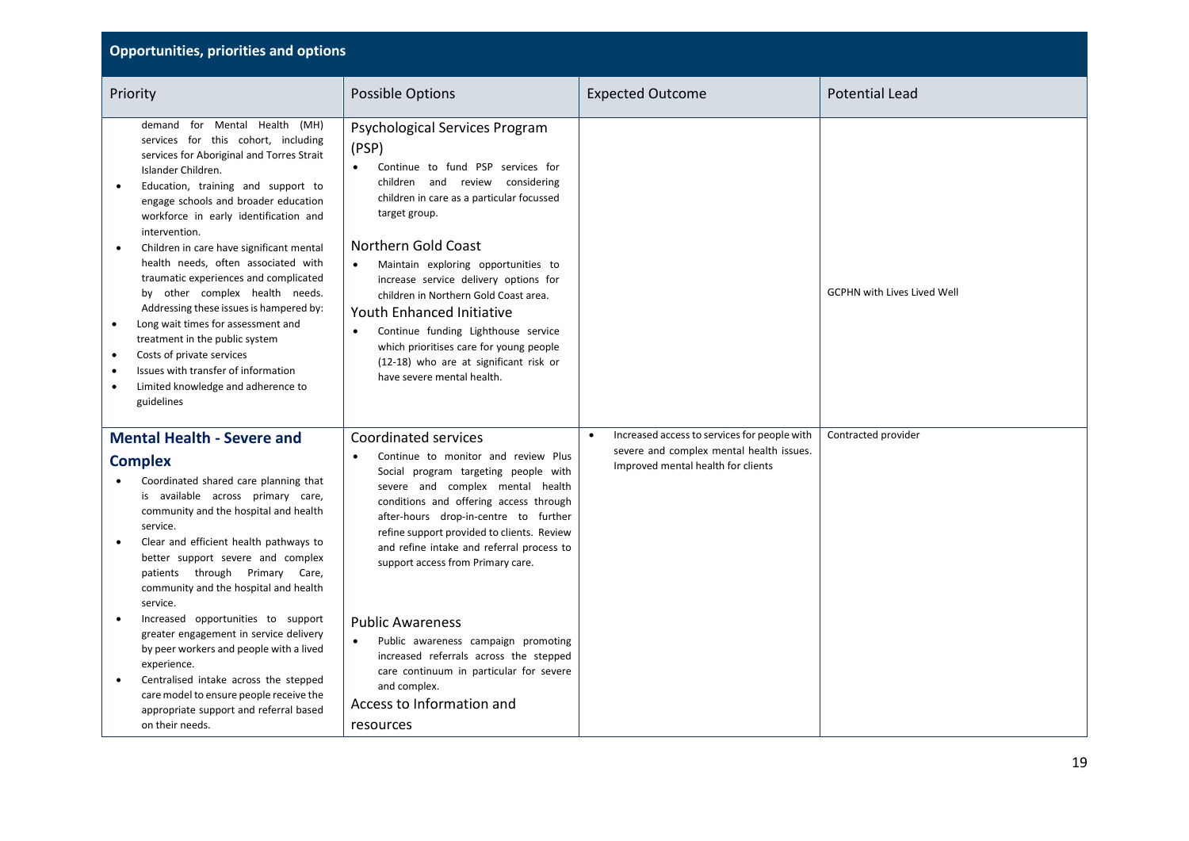| <b>Opportunities, priorities and options</b>                                                                                                                                                                                                                                                                                                                                                                                                                                                                                                                                                                                                                                                                                                                           |                                                                                                                                                                                                                                                                                                                                                                                                                                                                                                                                                             |                                                                                                                                             |                                    |  |  |
|------------------------------------------------------------------------------------------------------------------------------------------------------------------------------------------------------------------------------------------------------------------------------------------------------------------------------------------------------------------------------------------------------------------------------------------------------------------------------------------------------------------------------------------------------------------------------------------------------------------------------------------------------------------------------------------------------------------------------------------------------------------------|-------------------------------------------------------------------------------------------------------------------------------------------------------------------------------------------------------------------------------------------------------------------------------------------------------------------------------------------------------------------------------------------------------------------------------------------------------------------------------------------------------------------------------------------------------------|---------------------------------------------------------------------------------------------------------------------------------------------|------------------------------------|--|--|
| Priority                                                                                                                                                                                                                                                                                                                                                                                                                                                                                                                                                                                                                                                                                                                                                               | Possible Options                                                                                                                                                                                                                                                                                                                                                                                                                                                                                                                                            | <b>Expected Outcome</b>                                                                                                                     | <b>Potential Lead</b>              |  |  |
| demand for Mental Health (MH)<br>services for this cohort, including<br>services for Aboriginal and Torres Strait<br>Islander Children.<br>Education, training and support to<br>$\bullet$<br>engage schools and broader education<br>workforce in early identification and<br>intervention.<br>Children in care have significant mental<br>$\bullet$<br>health needs, often associated with<br>traumatic experiences and complicated<br>by other complex health needs.<br>Addressing these issues is hampered by:<br>Long wait times for assessment and<br>$\bullet$<br>treatment in the public system<br>Costs of private services<br>$\bullet$<br>Issues with transfer of information<br>$\bullet$<br>Limited knowledge and adherence to<br>$\bullet$<br>guidelines | Psychological Services Program<br>(PSP)<br>Continue to fund PSP services for<br>$\bullet$<br>children and review considering<br>children in care as a particular focussed<br>target group.<br>Northern Gold Coast<br>Maintain exploring opportunities to<br>$\bullet$<br>increase service delivery options for<br>children in Northern Gold Coast area.<br>Youth Enhanced Initiative<br>Continue funding Lighthouse service<br>$\bullet$<br>which prioritises care for young people<br>(12-18) who are at significant risk or<br>have severe mental health. |                                                                                                                                             | <b>GCPHN with Lives Lived Well</b> |  |  |
| <b>Mental Health - Severe and</b><br><b>Complex</b><br>Coordinated shared care planning that<br>is available across primary care,<br>community and the hospital and health<br>service.<br>Clear and efficient health pathways to<br>$\bullet$<br>better support severe and complex<br>patients through Primary Care,<br>community and the hospital and health<br>service.<br>Increased opportunities to support<br>$\bullet$<br>greater engagement in service delivery                                                                                                                                                                                                                                                                                                 | <b>Coordinated services</b><br>Continue to monitor and review Plus<br>$\bullet$<br>Social program targeting people with<br>severe and complex mental health<br>conditions and offering access through<br>after-hours drop-in-centre to further<br>refine support provided to clients. Review<br>and refine intake and referral process to<br>support access from Primary care.<br><b>Public Awareness</b>                                                                                                                                                   | Increased access to services for people with<br>$\bullet$<br>severe and complex mental health issues.<br>Improved mental health for clients | Contracted provider                |  |  |
| by peer workers and people with a lived<br>experience.<br>Centralised intake across the stepped<br>$\bullet$<br>care model to ensure people receive the<br>appropriate support and referral based<br>on their needs.                                                                                                                                                                                                                                                                                                                                                                                                                                                                                                                                                   | Public awareness campaign promoting<br>$\bullet$<br>increased referrals across the stepped<br>care continuum in particular for severe<br>and complex.<br>Access to Information and<br>resources                                                                                                                                                                                                                                                                                                                                                             |                                                                                                                                             |                                    |  |  |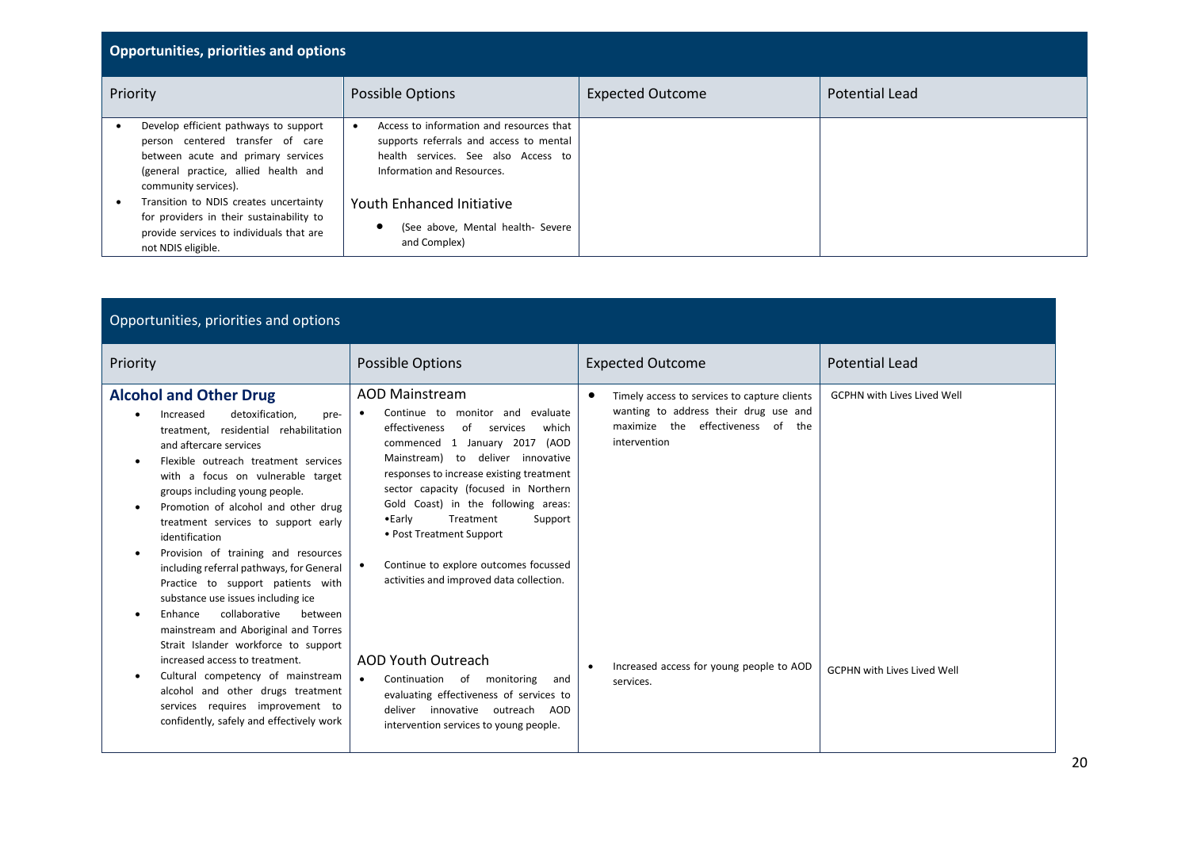| <b>Opportunities, priorities and options</b> |                                                                                                                                                                                 |                                                                                                                                                          |                         |                       |
|----------------------------------------------|---------------------------------------------------------------------------------------------------------------------------------------------------------------------------------|----------------------------------------------------------------------------------------------------------------------------------------------------------|-------------------------|-----------------------|
|                                              | Priority                                                                                                                                                                        | Possible Options                                                                                                                                         | <b>Expected Outcome</b> | <b>Potential Lead</b> |
|                                              | Develop efficient pathways to support<br>person centered transfer of care<br>between acute and primary services<br>(general practice, allied health and<br>community services). | Access to information and resources that<br>supports referrals and access to mental<br>health services. See also Access to<br>Information and Resources. |                         |                       |
|                                              | Transition to NDIS creates uncertainty<br>for providers in their sustainability to<br>provide services to individuals that are<br>not NDIS eligible.                            | Youth Enhanced Initiative<br>(See above, Mental health- Severe<br>and Complex)                                                                           |                         |                       |

| Opportunities, priorities and options                                                                                                                                                                                                                                                                                                                                                                                                                                                                                                                                                                                                                                                                                                                                                                                                                                                                     |                                                                                                                                                                                                                                                                                                                                                                                                                                                                                                                                                                                                                                                                                                                 |                                                                                                                                                                                                                                  |                                                                          |  |  |
|-----------------------------------------------------------------------------------------------------------------------------------------------------------------------------------------------------------------------------------------------------------------------------------------------------------------------------------------------------------------------------------------------------------------------------------------------------------------------------------------------------------------------------------------------------------------------------------------------------------------------------------------------------------------------------------------------------------------------------------------------------------------------------------------------------------------------------------------------------------------------------------------------------------|-----------------------------------------------------------------------------------------------------------------------------------------------------------------------------------------------------------------------------------------------------------------------------------------------------------------------------------------------------------------------------------------------------------------------------------------------------------------------------------------------------------------------------------------------------------------------------------------------------------------------------------------------------------------------------------------------------------------|----------------------------------------------------------------------------------------------------------------------------------------------------------------------------------------------------------------------------------|--------------------------------------------------------------------------|--|--|
| Priority                                                                                                                                                                                                                                                                                                                                                                                                                                                                                                                                                                                                                                                                                                                                                                                                                                                                                                  | Possible Options                                                                                                                                                                                                                                                                                                                                                                                                                                                                                                                                                                                                                                                                                                | <b>Expected Outcome</b>                                                                                                                                                                                                          | <b>Potential Lead</b>                                                    |  |  |
| <b>Alcohol and Other Drug</b><br>detoxification.<br>Increased<br>$\bullet$<br>pre-<br>treatment, residential rehabilitation<br>and aftercare services<br>Flexible outreach treatment services<br>$\bullet$<br>with a focus on vulnerable target<br>groups including young people.<br>Promotion of alcohol and other drug<br>$\bullet$<br>treatment services to support early<br>identification<br>Provision of training and resources<br>$\bullet$<br>including referral pathways, for General<br>Practice to support patients with<br>substance use issues including ice<br>collaborative<br>between<br>Enhance<br>mainstream and Aboriginal and Torres<br>Strait Islander workforce to support<br>increased access to treatment.<br>Cultural competency of mainstream<br>$\bullet$<br>alcohol and other drugs treatment<br>services requires improvement to<br>confidently, safely and effectively work | <b>AOD Mainstream</b><br>Continue to monitor and evaluate<br>$\bullet$<br>effectiveness<br>of<br>services<br>which<br>commenced 1 January 2017<br>(AOD<br>Mainstream) to deliver innovative<br>responses to increase existing treatment<br>sector capacity (focused in Northern<br>Gold Coast) in the following areas:<br>$\bullet$ Early<br>Treatment<br>Support<br>• Post Treatment Support<br>Continue to explore outcomes focussed<br>$\bullet$<br>activities and improved data collection.<br><b>AOD Youth Outreach</b><br>$\bullet$<br>Continuation<br>monitoring<br>of<br>and<br>evaluating effectiveness of services to<br>innovative outreach AOD<br>deliver<br>intervention services to young people. | $\bullet$<br>Timely access to services to capture clients<br>wanting to address their drug use and<br>maximize the effectiveness of<br>the<br>intervention<br>Increased access for young people to AOD<br>$\bullet$<br>services. | <b>GCPHN with Lives Lived Well</b><br><b>GCPHN with Lives Lived Well</b> |  |  |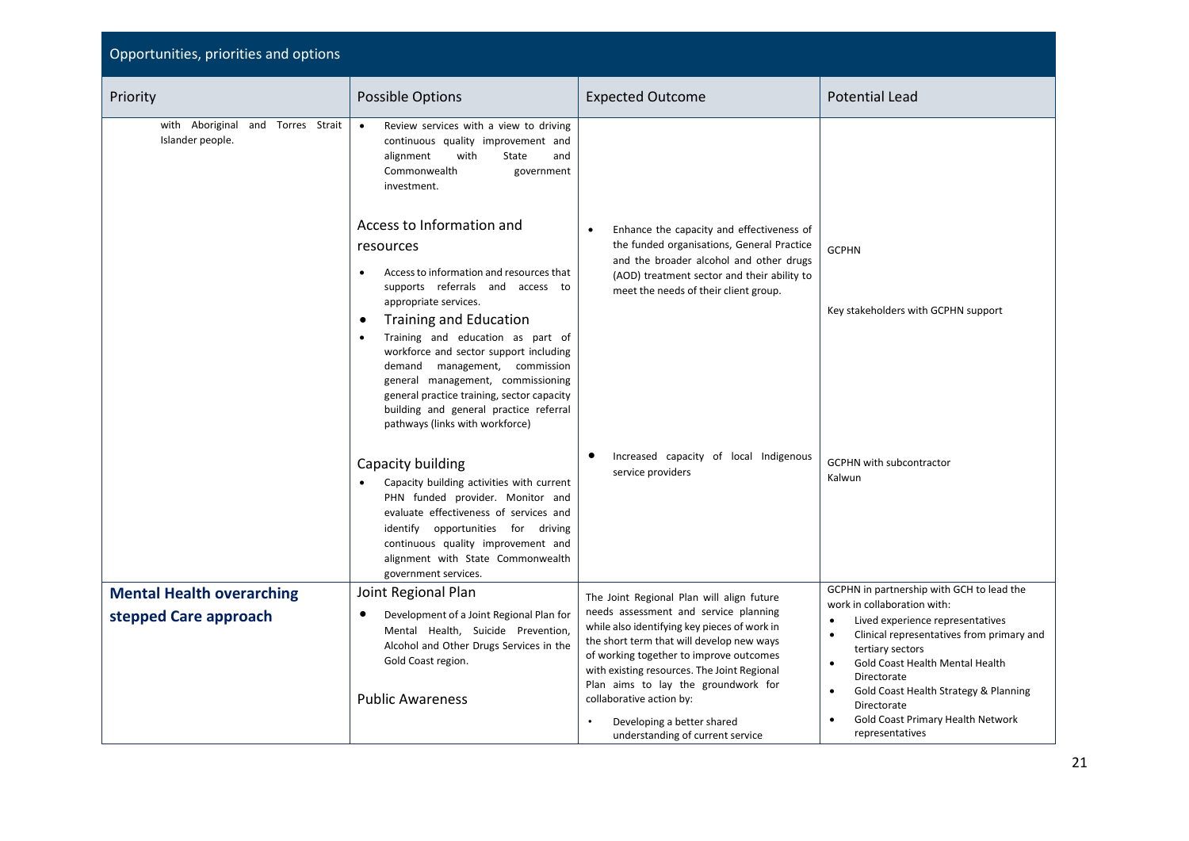| Opportunities, priorities and options                 |                                                                                                                                                                                                                                                                                       |                                                                                                                                                                                                                                                                                                 |                                                                                                                                                                                                                                     |
|-------------------------------------------------------|---------------------------------------------------------------------------------------------------------------------------------------------------------------------------------------------------------------------------------------------------------------------------------------|-------------------------------------------------------------------------------------------------------------------------------------------------------------------------------------------------------------------------------------------------------------------------------------------------|-------------------------------------------------------------------------------------------------------------------------------------------------------------------------------------------------------------------------------------|
| Priority                                              | Possible Options                                                                                                                                                                                                                                                                      | <b>Expected Outcome</b>                                                                                                                                                                                                                                                                         | <b>Potential Lead</b>                                                                                                                                                                                                               |
| with Aboriginal and Torres Strait<br>Islander people. | Review services with a view to driving<br>$\bullet$<br>continuous quality improvement and<br>alignment<br>with<br>State<br>and<br>Commonwealth<br>government<br>investment.<br>Access to Information and                                                                              | Enhance the capacity and effectiveness of<br>$\bullet$<br>the funded organisations, General Practice                                                                                                                                                                                            |                                                                                                                                                                                                                                     |
|                                                       | resources<br>Access to information and resources that<br>$\bullet$<br>supports referrals and access to<br>appropriate services.<br><b>Training and Education</b><br>$\bullet$<br>Training and education as part of<br>$\bullet$<br>workforce and sector support including             | and the broader alcohol and other drugs<br>(AOD) treatment sector and their ability to<br>meet the needs of their client group.                                                                                                                                                                 | <b>GCPHN</b><br>Key stakeholders with GCPHN support                                                                                                                                                                                 |
|                                                       | demand management, commission<br>general management, commissioning<br>general practice training, sector capacity<br>building and general practice referral<br>pathways (links with workforce)                                                                                         |                                                                                                                                                                                                                                                                                                 |                                                                                                                                                                                                                                     |
|                                                       | Capacity building<br>Capacity building activities with current<br>PHN funded provider. Monitor and<br>evaluate effectiveness of services and<br>identify opportunities for driving<br>continuous quality improvement and<br>alignment with State Commonwealth<br>government services. | Increased capacity of local Indigenous<br>$\bullet$<br>service providers                                                                                                                                                                                                                        | <b>GCPHN with subcontractor</b><br>Kalwun                                                                                                                                                                                           |
| <b>Mental Health overarching</b>                      | Joint Regional Plan                                                                                                                                                                                                                                                                   | The Joint Regional Plan will align future                                                                                                                                                                                                                                                       | GCPHN in partnership with GCH to lead the<br>work in collaboration with:                                                                                                                                                            |
| stepped Care approach                                 | ٠<br>Development of a Joint Regional Plan for<br>Mental Health, Suicide Prevention,<br>Alcohol and Other Drugs Services in the<br>Gold Coast region.<br><b>Public Awareness</b>                                                                                                       | needs assessment and service planning<br>while also identifying key pieces of work in<br>the short term that will develop new ways<br>of working together to improve outcomes<br>with existing resources. The Joint Regional<br>Plan aims to lay the groundwork for<br>collaborative action by: | Lived experience representatives<br>$\bullet$<br>Clinical representatives from primary and<br>$\bullet$<br>tertiary sectors<br>Gold Coast Health Mental Health<br>$\bullet$<br>Directorate<br>Gold Coast Health Strategy & Planning |
|                                                       |                                                                                                                                                                                                                                                                                       | Developing a better shared<br>$\bullet$<br>understanding of current service                                                                                                                                                                                                                     | Directorate<br>Gold Coast Primary Health Network<br>representatives                                                                                                                                                                 |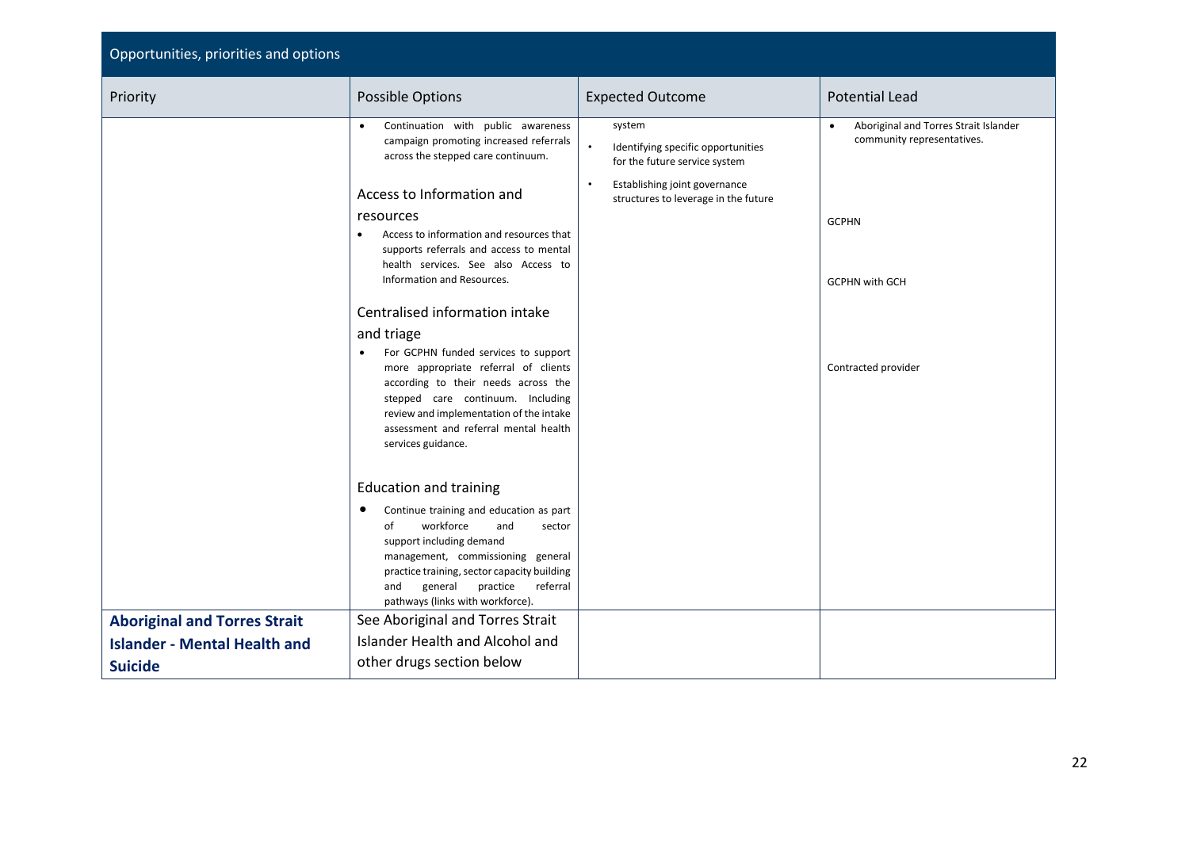| Opportunities, priorities and options |                                                                                                                                                                                                                                                                                               |                                                                                                                                                                                  |                                                                                     |  |  |
|---------------------------------------|-----------------------------------------------------------------------------------------------------------------------------------------------------------------------------------------------------------------------------------------------------------------------------------------------|----------------------------------------------------------------------------------------------------------------------------------------------------------------------------------|-------------------------------------------------------------------------------------|--|--|
| Priority                              | <b>Possible Options</b>                                                                                                                                                                                                                                                                       | <b>Expected Outcome</b>                                                                                                                                                          | <b>Potential Lead</b>                                                               |  |  |
|                                       | Continuation with public awareness<br>$\bullet$<br>campaign promoting increased referrals<br>across the stepped care continuum.<br>Access to Information and<br>resources                                                                                                                     | system<br>$\bullet$<br>Identifying specific opportunities<br>for the future service system<br>Establishing joint governance<br>$\bullet$<br>structures to leverage in the future | Aboriginal and Torres Strait Islander<br>community representatives.<br><b>GCPHN</b> |  |  |
|                                       | Access to information and resources that<br>$\bullet$<br>supports referrals and access to mental<br>health services. See also Access to<br>Information and Resources.                                                                                                                         |                                                                                                                                                                                  | <b>GCPHN with GCH</b>                                                               |  |  |
|                                       | Centralised information intake                                                                                                                                                                                                                                                                |                                                                                                                                                                                  |                                                                                     |  |  |
|                                       | and triage<br>For GCPHN funded services to support<br>$\bullet$<br>more appropriate referral of clients<br>according to their needs across the<br>stepped care continuum. Including<br>review and implementation of the intake<br>assessment and referral mental health<br>services guidance. |                                                                                                                                                                                  | Contracted provider                                                                 |  |  |
|                                       | <b>Education and training</b>                                                                                                                                                                                                                                                                 |                                                                                                                                                                                  |                                                                                     |  |  |
|                                       | Continue training and education as part<br>٠<br>workforce<br>of<br>and<br>sector<br>support including demand<br>management, commissioning general<br>practice training, sector capacity building<br>general<br>practice<br>referral<br>and<br>pathways (links with workforce).                |                                                                                                                                                                                  |                                                                                     |  |  |
| <b>Aboriginal and Torres Strait</b>   | See Aboriginal and Torres Strait                                                                                                                                                                                                                                                              |                                                                                                                                                                                  |                                                                                     |  |  |
| <b>Islander - Mental Health and</b>   | Islander Health and Alcohol and                                                                                                                                                                                                                                                               |                                                                                                                                                                                  |                                                                                     |  |  |
| <b>Suicide</b>                        | other drugs section below                                                                                                                                                                                                                                                                     |                                                                                                                                                                                  |                                                                                     |  |  |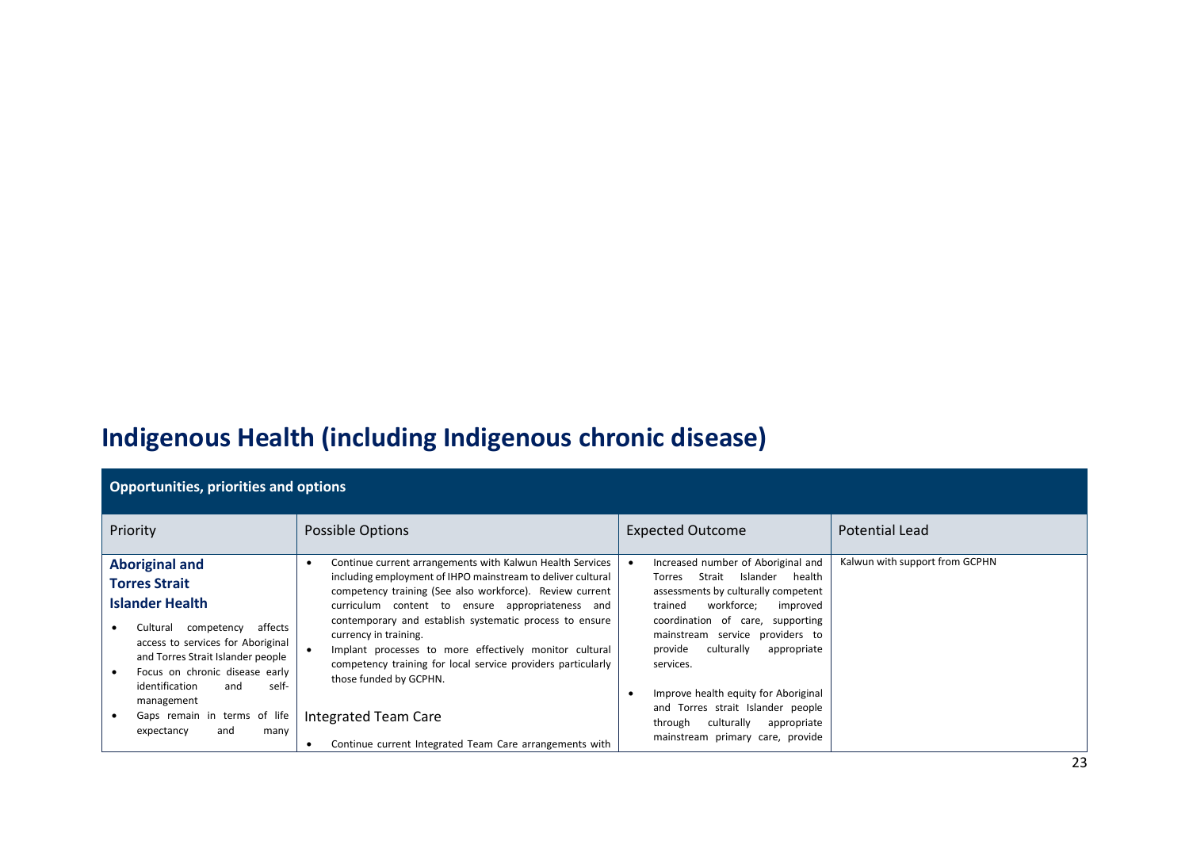## **Indigenous Health (including Indigenous chronic disease)**

| <b>Opportunities, priorities and options</b>                                                                                                                                                                                                               |                                                                                                                                                                                                                                                                                                                                                                                                                                                                                  |                                                                                                                                                                                                                                                                                      |                                |  |  |
|------------------------------------------------------------------------------------------------------------------------------------------------------------------------------------------------------------------------------------------------------------|----------------------------------------------------------------------------------------------------------------------------------------------------------------------------------------------------------------------------------------------------------------------------------------------------------------------------------------------------------------------------------------------------------------------------------------------------------------------------------|--------------------------------------------------------------------------------------------------------------------------------------------------------------------------------------------------------------------------------------------------------------------------------------|--------------------------------|--|--|
| Priority                                                                                                                                                                                                                                                   | Possible Options                                                                                                                                                                                                                                                                                                                                                                                                                                                                 | <b>Expected Outcome</b>                                                                                                                                                                                                                                                              | <b>Potential Lead</b>          |  |  |
| <b>Aboriginal and</b><br><b>Torres Strait</b><br><b>Islander Health</b><br>affects<br>Cultural<br>competency<br>access to services for Aboriginal<br>and Torres Strait Islander people<br>Focus on chronic disease early<br>identification<br>self-<br>and | Continue current arrangements with Kalwun Health Services<br>including employment of IHPO mainstream to deliver cultural<br>competency training (See also workforce). Review current<br>curriculum content to ensure appropriateness and<br>contemporary and establish systematic process to ensure<br>currency in training.<br>Implant processes to more effectively monitor cultural<br>competency training for local service providers particularly<br>those funded by GCPHN. | Increased number of Aboriginal and<br>Strait<br>Islander<br>health<br>Torres<br>assessments by culturally competent<br>workforce:<br>trained<br>improved<br>coordination of care, supporting<br>mainstream service providers to<br>provide<br>culturally<br>appropriate<br>services. | Kalwun with support from GCPHN |  |  |
| management<br>Gaps remain in terms of life<br>and<br>expectancy<br>many                                                                                                                                                                                    | Integrated Team Care<br>Continue current Integrated Team Care arrangements with                                                                                                                                                                                                                                                                                                                                                                                                  | Improve health equity for Aboriginal<br>$\bullet$<br>and Torres strait Islander people<br>culturally<br>through<br>appropriate<br>mainstream primary care, provide                                                                                                                   |                                |  |  |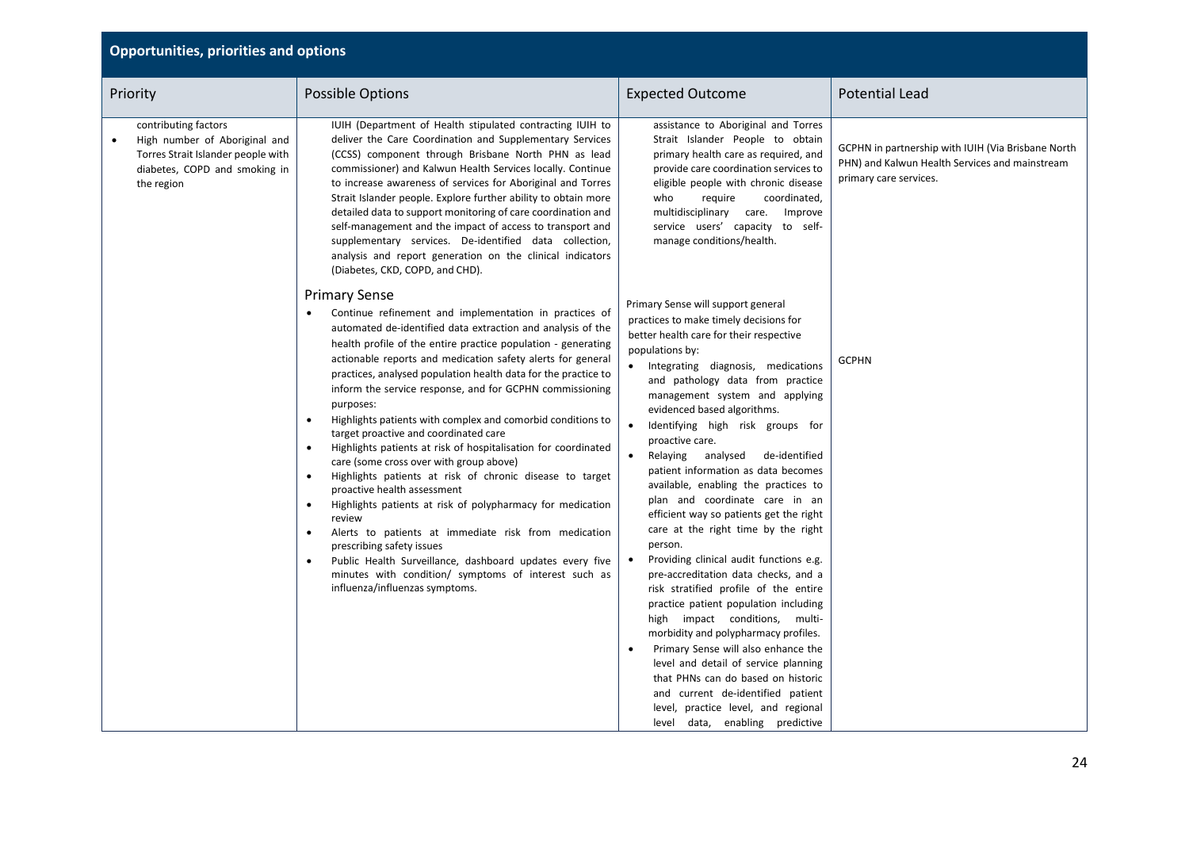| Priority                                                                                                                                                | <b>Possible Options</b>                                                                                                                                                                                                                                                                                                                                                                                                                                                                                                                                                                                                                                                                                                                                                                                                                                                                                                                                                                                                                                                                            | <b>Expected Outcome</b>                                                                                                                                                                                                                                                                                                                                                                                                                                                                                                                                                                                                                                                                                                                                                                                                                                                                                                                                                                                                                                                                                                   | <b>Potential Lead</b>                                                                                                          |
|---------------------------------------------------------------------------------------------------------------------------------------------------------|----------------------------------------------------------------------------------------------------------------------------------------------------------------------------------------------------------------------------------------------------------------------------------------------------------------------------------------------------------------------------------------------------------------------------------------------------------------------------------------------------------------------------------------------------------------------------------------------------------------------------------------------------------------------------------------------------------------------------------------------------------------------------------------------------------------------------------------------------------------------------------------------------------------------------------------------------------------------------------------------------------------------------------------------------------------------------------------------------|---------------------------------------------------------------------------------------------------------------------------------------------------------------------------------------------------------------------------------------------------------------------------------------------------------------------------------------------------------------------------------------------------------------------------------------------------------------------------------------------------------------------------------------------------------------------------------------------------------------------------------------------------------------------------------------------------------------------------------------------------------------------------------------------------------------------------------------------------------------------------------------------------------------------------------------------------------------------------------------------------------------------------------------------------------------------------------------------------------------------------|--------------------------------------------------------------------------------------------------------------------------------|
| contributing factors<br>High number of Aboriginal and<br>$\bullet$<br>Torres Strait Islander people with<br>diabetes, COPD and smoking in<br>the region | IUIH (Department of Health stipulated contracting IUIH to<br>deliver the Care Coordination and Supplementary Services<br>(CCSS) component through Brisbane North PHN as lead<br>commissioner) and Kalwun Health Services locally. Continue<br>to increase awareness of services for Aboriginal and Torres<br>Strait Islander people. Explore further ability to obtain more<br>detailed data to support monitoring of care coordination and<br>self-management and the impact of access to transport and<br>supplementary services. De-identified data collection,<br>analysis and report generation on the clinical indicators<br>(Diabetes, CKD, COPD, and CHD).                                                                                                                                                                                                                                                                                                                                                                                                                                 | assistance to Aboriginal and Torres<br>Strait Islander People to obtain<br>primary health care as required, and<br>provide care coordination services to<br>eligible people with chronic disease<br>who<br>require<br>coordinated,<br>multidisciplinary care.<br>Improve<br>service users' capacity to self-<br>manage conditions/health.                                                                                                                                                                                                                                                                                                                                                                                                                                                                                                                                                                                                                                                                                                                                                                                 | GCPHN in partnership with IUIH (Via Brisbane North<br>PHN) and Kalwun Health Services and mainstream<br>primary care services. |
|                                                                                                                                                         | <b>Primary Sense</b><br>Continue refinement and implementation in practices of<br>automated de-identified data extraction and analysis of the<br>health profile of the entire practice population - generating<br>actionable reports and medication safety alerts for general<br>practices, analysed population health data for the practice to<br>inform the service response, and for GCPHN commissioning<br>purposes:<br>Highlights patients with complex and comorbid conditions to<br>target proactive and coordinated care<br>Highlights patients at risk of hospitalisation for coordinated<br>care (some cross over with group above)<br>Highlights patients at risk of chronic disease to target<br>$\bullet$<br>proactive health assessment<br>Highlights patients at risk of polypharmacy for medication<br>$\bullet$<br>review<br>Alerts to patients at immediate risk from medication<br>prescribing safety issues<br>Public Health Surveillance, dashboard updates every five<br>$\bullet$<br>minutes with condition/ symptoms of interest such as<br>influenza/influenzas symptoms. | Primary Sense will support general<br>practices to make timely decisions for<br>better health care for their respective<br>populations by:<br>• Integrating diagnosis, medications<br>and pathology data from practice<br>management system and applying<br>evidenced based algorithms.<br>$\bullet$<br>Identifying high risk groups for<br>proactive care.<br>Relaying analysed de-identified<br>$\bullet$<br>patient information as data becomes<br>available, enabling the practices to<br>plan and coordinate care in an<br>efficient way so patients get the right<br>care at the right time by the right<br>person.<br>Providing clinical audit functions e.g.<br>$\bullet$<br>pre-accreditation data checks, and a<br>risk stratified profile of the entire<br>practice patient population including<br>high impact conditions, multi-<br>morbidity and polypharmacy profiles.<br>Primary Sense will also enhance the<br>level and detail of service planning<br>that PHNs can do based on historic<br>and current de-identified patient<br>level, practice level, and regional<br>level data, enabling predictive | <b>GCPHN</b>                                                                                                                   |